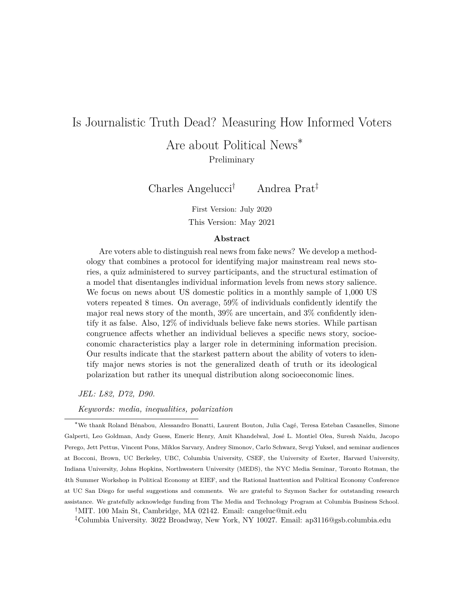# <span id="page-0-0"></span>Is Journalistic Truth Dead? Measuring How Informed Voters

Are about Political News<sup>\*</sup> Preliminary

Charles Angelucci† Andrea Prat‡

First Version: July 2020 This Version: May 2021

#### **Abstract**

Are voters able to distinguish real news from fake news? We develop a methodology that combines a protocol for identifying major mainstream real news stories, a quiz administered to survey participants, and the structural estimation of a model that disentangles individual information levels from news story salience. We focus on news about US domestic politics in a monthly sample of 1,000 US voters repeated 8 times. On average, 59% of individuals confidently identify the major real news story of the month, 39% are uncertain, and 3% confidently identify it as false. Also, 12% of individuals believe fake news stories. While partisan congruence affects whether an individual believes a specific news story, socioeconomic characteristics play a larger role in determining information precision. Our results indicate that the starkest pattern about the ability of voters to identify major news stories is not the generalized death of truth or its ideological polarization but rather its unequal distribution along socioeconomic lines.

*JEL: L82, D72, D90.*

*Keywords: media, inequalities, polarization*

<sup>∗</sup>We thank Roland B´enabou, Alessandro Bonatti, Laurent Bouton, Julia Cag´e, Teresa Esteban Casanelles, Simone Galperti, Leo Goldman, Andy Guess, Emeric Henry, Amit Khandelwal, José L. Montiel Olea, Suresh Naidu, Jacopo Perego, Jett Pettus, Vincent Pons, Miklos Sarvary, Andrey Simonov, Carlo Schwarz, Sevgi Yuksel, and seminar audiences at Bocconi, Brown, UC Berkeley, UBC, Columbia University, CSEF, the University of Exeter, Harvard University, Indiana University, Johns Hopkins, Northwestern University (MEDS), the NYC Media Seminar, Toronto Rotman, the 4th Summer Workshop in Political Economy at EIEF, and the Rational Inattention and Political Economy Conference at UC San Diego for useful suggestions and comments. We are grateful to Szymon Sacher for outstanding research assistance. We gratefully acknowledge funding from The Media and Technology Program at Columbia Business School.

†MIT. 100 Main St, Cambridge, MA 02142. Email: cangeluc@mit.edu

‡Columbia University. 3022 Broadway, New York, NY 10027. Email: ap3116@gsb.columbia.edu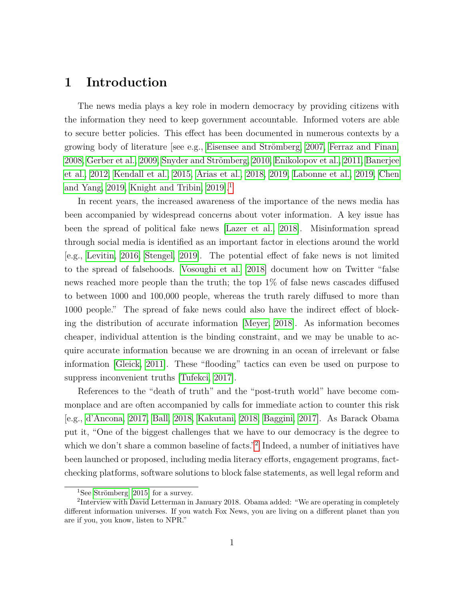### <span id="page-1-0"></span>**1 Introduction**

The news media plays a key role in modern democracy by providing citizens with the information they need to keep government accountable. Informed voters are able to secure better policies. This effect has been documented in numerous contexts by a growing body of literature [see e.g., Eisensee and Strömberg, 2007, [Ferraz and Finan,](#page-44-1) [2008,](#page-44-1) [Gerber et al., 2009,](#page-45-0) Snyder and Strömberg, 2010, [Enikolopov et al., 2011,](#page-44-2) [Banerjee](#page-43-0) [et al., 2012,](#page-43-0) [Kendall et al., 2015,](#page-46-0) [Arias et al., 2018,](#page-43-1) [2019,](#page-43-2) [Labonne et al., 2019,](#page-46-1) [Chen](#page-44-3) [and Yang, 2019,](#page-44-3) Knight and Tribin,  $2019$  $2019$  $2019$ <sup>1</sup>.

In recent years, the increased awareness of the importance of the news media has been accompanied by widespread concerns about voter information. A key issue has been the spread of political fake news [\[Lazer et al., 2018\]](#page-46-3). Misinformation spread through social media is identified as an important factor in elections around the world [e.g., [Levitin, 2016,](#page-46-4) [Stengel, 2019\]](#page-48-1). The potential effect of fake news is not limited to the spread of falsehoods. [Vosoughi et al.](#page-48-2) [\[2018\]](#page-48-2) document how on Twitter "false news reached more people than the truth; the top 1% of false news cascades diffused to between 1000 and 100,000 people, whereas the truth rarely diffused to more than 1000 people." The spread of fake news could also have the indirect effect of blocking the distribution of accurate information [\[Meyer, 2018\]](#page-46-5). As information becomes cheaper, individual attention is the binding constraint, and we may be unable to acquire accurate information because we are drowning in an ocean of irrelevant or false information [\[Gleick, 2011\]](#page-45-1). These "flooding" tactics can even be used on purpose to suppress inconvenient truths [\[Tufekci, 2017\]](#page-48-3).

References to the "death of truth" and the "post-truth world" have become commonplace and are often accompanied by calls for immediate action to counter this risk [e.g., [d'Ancona, 2017,](#page-44-4) [Ball, 2018,](#page-43-3) [Kakutani, 2018,](#page-45-2) [Baggini, 2017\]](#page-43-4). As Barack Obama put it, "One of the biggest challenges that we have to our democracy is the degree to which we don't share a common baseline of facts."<sup>[2](#page-0-0)</sup> Indeed, a number of initiatives have been launched or proposed, including media literacy efforts, engagement programs, factchecking platforms, software solutions to block false statements, as well legal reform and

<sup>&</sup>lt;sup>1</sup>See Strömberg [\[2015\]](#page-48-4) for a survey.

<sup>&</sup>lt;sup>2</sup>Interview with David Letterman in January 2018. Obama added: "We are operating in completely different information universes. If you watch Fox News, you are living on a different planet than you are if you, you know, listen to NPR."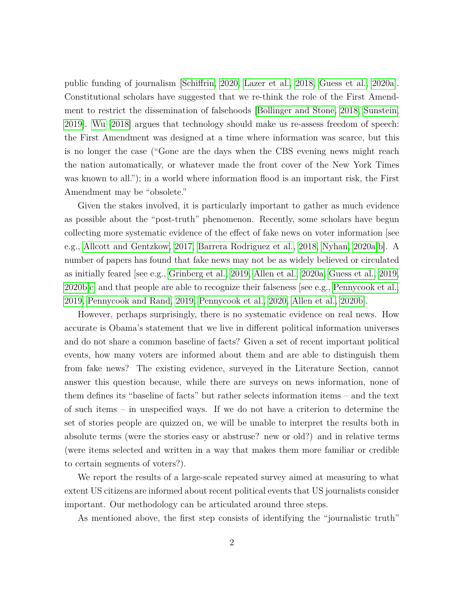public funding of journalism [\[Schiffrin, 2020,](#page-48-5) [Lazer et al., 2018,](#page-46-3) [Guess et al., 2020a\]](#page-45-3). Constitutional scholars have suggested that we re-think the role of the First Amendment to restrict the dissemination of falsehoods [\[Bollinger and Stone, 2018,](#page-44-5) [Sunstein,](#page-48-6) [2019\]](#page-48-6). [Wu](#page-48-7) [\[2018\]](#page-48-7) argues that technology should make us re-assess freedom of speech: the First Amendment was designed at a time where information was scarce, but this is no longer the case ("Gone are the days when the CBS evening news might reach the nation automatically, or whatever made the front cover of the New York Times was known to all."); in a world where information flood is an important risk, the First Amendment may be "obsolete."

Given the stakes involved, it is particularly important to gather as much evidence as possible about the "post-truth" phenomenon. Recently, some scholars have begun collecting more systematic evidence of the effect of fake news on voter information [see e.g., [Allcott and Gentzkow, 2017,](#page-43-5) [Barrera Rodriguez et al., 2018,](#page-44-6) [Nyhan, 2020a,](#page-46-6)[b\]](#page-46-7). A number of papers has found that fake news may not be as widely believed or circulated as initially feared [see e.g., [Grinberg et al., 2019,](#page-45-4) [Allen et al., 2020a,](#page-43-6) [Guess et al., 2019,](#page-45-5) [2020b](#page-45-6)[,c\]](#page-45-7) and that people are able to recognize their falseness [see e.g., [Pennycook et al.,](#page-46-8) [2019,](#page-46-8) [Pennycook and Rand, 2019,](#page-46-9) [Pennycook et al., 2020,](#page-47-0) [Allen et al., 2020b\]](#page-43-7).

However, perhaps surprisingly, there is no systematic evidence on real news. How accurate is Obama's statement that we live in different political information universes and do not share a common baseline of facts? Given a set of recent important political events, how many voters are informed about them and are able to distinguish them from fake news? The existing evidence, surveyed in the Literature Section, cannot answer this question because, while there are surveys on news information, none of them defines its "baseline of facts" but rather selects information items – and the text of such items – in unspecified ways. If we do not have a criterion to determine the set of stories people are quizzed on, we will be unable to interpret the results both in absolute terms (were the stories easy or abstruse? new or old?) and in relative terms (were items selected and written in a way that makes them more familiar or credible to certain segments of voters?).

We report the results of a large-scale repeated survey aimed at measuring to what extent US citizens are informed about recent political events that US journalists consider important. Our methodology can be articulated around three steps.

As mentioned above, the first step consists of identifying the "journalistic truth"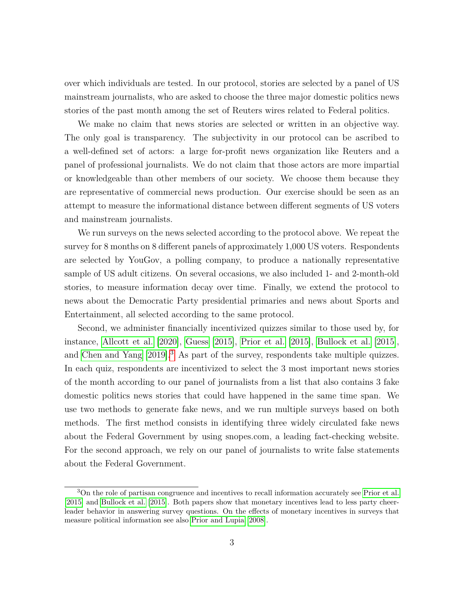over which individuals are tested. In our protocol, stories are selected by a panel of US mainstream journalists, who are asked to choose the three major domestic politics news stories of the past month among the set of Reuters wires related to Federal politics.

We make no claim that news stories are selected or written in an objective way. The only goal is transparency. The subjectivity in our protocol can be ascribed to a well-defined set of actors: a large for-profit news organization like Reuters and a panel of professional journalists. We do not claim that those actors are more impartial or knowledgeable than other members of our society. We choose them because they are representative of commercial news production. Our exercise should be seen as an attempt to measure the informational distance between different segments of US voters and mainstream journalists.

We run surveys on the news selected according to the protocol above. We repeat the survey for 8 months on 8 different panels of approximately 1,000 US voters. Respondents are selected by YouGov, a polling company, to produce a nationally representative sample of US adult citizens. On several occasions, we also included 1- and 2-month-old stories, to measure information decay over time. Finally, we extend the protocol to news about the Democratic Party presidential primaries and news about Sports and Entertainment, all selected according to the same protocol.

Second, we administer financially incentivized quizzes similar to those used by, for instance, [Allcott et al.](#page-43-8) [\[2020\]](#page-43-8), [Guess](#page-45-8) [\[2015\]](#page-45-8), [Prior et al.](#page-47-1) [\[2015\]](#page-47-1), [Bullock et al.](#page-44-7) [\[2015\]](#page-44-7), and [Chen and Yang](#page-44-3) [\[2019\]](#page-44-3).[3](#page-0-0) As part of the survey, respondents take multiple quizzes. In each quiz, respondents are incentivized to select the 3 most important news stories of the month according to our panel of journalists from a list that also contains 3 fake domestic politics news stories that could have happened in the same time span. We use two methods to generate fake news, and we run multiple surveys based on both methods. The first method consists in identifying three widely circulated fake news about the Federal Government by using snopes.com, a leading fact-checking website. For the second approach, we rely on our panel of journalists to write false statements about the Federal Government.

<sup>&</sup>lt;sup>3</sup>On the role of partisan congruence and incentives to recall information accurately see [Prior et al.](#page-47-1) [\[2015\]](#page-47-1) and [Bullock et al.](#page-44-7) [\[2015\]](#page-44-7). Both papers show that monetary incentives lead to less party cheerleader behavior in answering survey questions. On the effects of monetary incentives in surveys that measure political information see also [Prior and Lupia](#page-47-2) [\[2008\]](#page-47-2).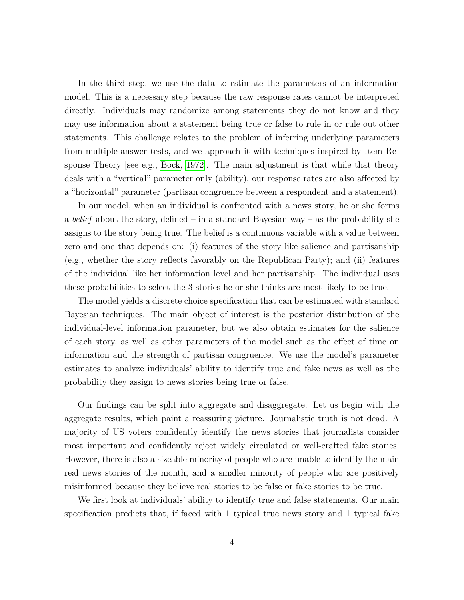In the third step, we use the data to estimate the parameters of an information model. This is a necessary step because the raw response rates cannot be interpreted directly. Individuals may randomize among statements they do not know and they may use information about a statement being true or false to rule in or rule out other statements. This challenge relates to the problem of inferring underlying parameters from multiple-answer tests, and we approach it with techniques inspired by Item Response Theory [see e.g., [Bock, 1972\]](#page-44-8). The main adjustment is that while that theory deals with a "vertical" parameter only (ability), our response rates are also affected by a "horizontal" parameter (partisan congruence between a respondent and a statement).

In our model, when an individual is confronted with a news story, he or she forms a *belief* about the story, defined – in a standard Bayesian way – as the probability she assigns to the story being true. The belief is a continuous variable with a value between zero and one that depends on: (i) features of the story like salience and partisanship (e.g., whether the story reflects favorably on the Republican Party); and (ii) features of the individual like her information level and her partisanship. The individual uses these probabilities to select the 3 stories he or she thinks are most likely to be true.

The model yields a discrete choice specification that can be estimated with standard Bayesian techniques. The main object of interest is the posterior distribution of the individual-level information parameter, but we also obtain estimates for the salience of each story, as well as other parameters of the model such as the effect of time on information and the strength of partisan congruence. We use the model's parameter estimates to analyze individuals' ability to identify true and fake news as well as the probability they assign to news stories being true or false.

Our findings can be split into aggregate and disaggregate. Let us begin with the aggregate results, which paint a reassuring picture. Journalistic truth is not dead. A majority of US voters confidently identify the news stories that journalists consider most important and confidently reject widely circulated or well-crafted fake stories. However, there is also a sizeable minority of people who are unable to identify the main real news stories of the month, and a smaller minority of people who are positively misinformed because they believe real stories to be false or fake stories to be true.

We first look at individuals' ability to identify true and false statements. Our main specification predicts that, if faced with 1 typical true news story and 1 typical fake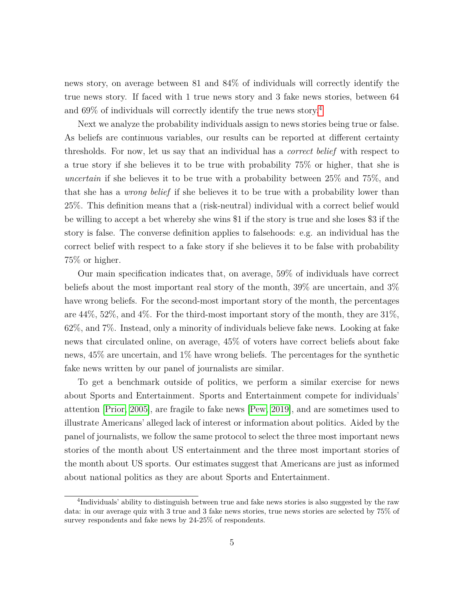news story, on average between 81 and 84% of individuals will correctly identify the true news story. If faced with 1 true news story and 3 fake news stories, between 64 and 69% of individuals will correctly identify the true news story.[4](#page-0-0)

Next we analyze the probability individuals assign to news stories being true or false. As beliefs are continuous variables, our results can be reported at different certainty thresholds. For now, let us say that an individual has a *correct belief* with respect to a true story if she believes it to be true with probability 75% or higher, that she is *uncertain* if she believes it to be true with a probability between 25% and 75%, and that she has a *wrong belief* if she believes it to be true with a probability lower than 25%. This definition means that a (risk-neutral) individual with a correct belief would be willing to accept a bet whereby she wins \$1 if the story is true and she loses \$3 if the story is false. The converse definition applies to falsehoods: e.g. an individual has the correct belief with respect to a fake story if she believes it to be false with probability 75% or higher.

Our main specification indicates that, on average, 59% of individuals have correct beliefs about the most important real story of the month, 39% are uncertain, and 3% have wrong beliefs. For the second-most important story of the month, the percentages are 44%, 52%, and 4%. For the third-most important story of the month, they are 31%, 62%, and 7%. Instead, only a minority of individuals believe fake news. Looking at fake news that circulated online, on average, 45% of voters have correct beliefs about fake news, 45% are uncertain, and 1% have wrong beliefs. The percentages for the synthetic fake news written by our panel of journalists are similar.

To get a benchmark outside of politics, we perform a similar exercise for news about Sports and Entertainment. Sports and Entertainment compete for individuals' attention [\[Prior, 2005\]](#page-47-3), are fragile to fake news [\[Pew, 2019\]](#page-47-4), and are sometimes used to illustrate Americans' alleged lack of interest or information about politics. Aided by the panel of journalists, we follow the same protocol to select the three most important news stories of the month about US entertainment and the three most important stories of the month about US sports. Our estimates suggest that Americans are just as informed about national politics as they are about Sports and Entertainment.

<sup>&</sup>lt;sup>4</sup>Individuals' ability to distinguish between true and fake news stories is also suggested by the raw data: in our average quiz with 3 true and 3 fake news stories, true news stories are selected by 75% of survey respondents and fake news by 24-25% of respondents.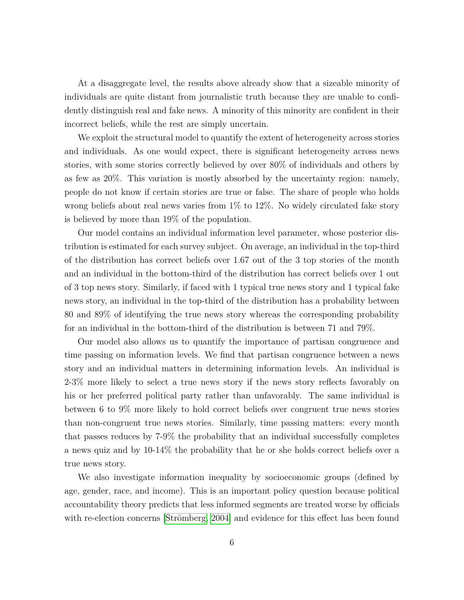At a disaggregate level, the results above already show that a sizeable minority of individuals are quite distant from journalistic truth because they are unable to confidently distinguish real and fake news. A minority of this minority are confident in their incorrect beliefs, while the rest are simply uncertain.

We exploit the structural model to quantify the extent of heterogeneity across stories and individuals. As one would expect, there is significant heterogeneity across news stories, with some stories correctly believed by over 80% of individuals and others by as few as 20%. This variation is mostly absorbed by the uncertainty region: namely, people do not know if certain stories are true or false. The share of people who holds wrong beliefs about real news varies from 1% to 12%. No widely circulated fake story is believed by more than 19% of the population.

Our model contains an individual information level parameter, whose posterior distribution is estimated for each survey subject. On average, an individual in the top-third of the distribution has correct beliefs over 1.67 out of the 3 top stories of the month and an individual in the bottom-third of the distribution has correct beliefs over 1 out of 3 top news story. Similarly, if faced with 1 typical true news story and 1 typical fake news story, an individual in the top-third of the distribution has a probability between 80 and 89% of identifying the true news story whereas the corresponding probability for an individual in the bottom-third of the distribution is between 71 and 79%.

Our model also allows us to quantify the importance of partisan congruence and time passing on information levels. We find that partisan congruence between a news story and an individual matters in determining information levels. An individual is 2-3% more likely to select a true news story if the news story reflects favorably on his or her preferred political party rather than unfavorably. The same individual is between 6 to 9% more likely to hold correct beliefs over congruent true news stories than non-congruent true news stories. Similarly, time passing matters: every month that passes reduces by 7-9% the probability that an individual successfully completes a news quiz and by 10-14% the probability that he or she holds correct beliefs over a true news story.

We also investigate information inequality by socioeconomic groups (defined by age, gender, race, and income). This is an important policy question because political accountability theory predicts that less informed segments are treated worse by officials with re-election concerns [Strömberg, 2004] and evidence for this effect has been found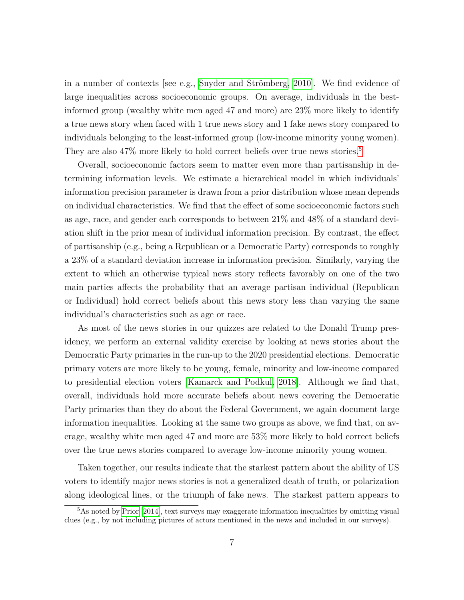in a number of contexts [see e.g., Snyder and Strömberg, 2010]. We find evidence of large inequalities across socioeconomic groups. On average, individuals in the bestinformed group (wealthy white men aged 47 and more) are 23% more likely to identify a true news story when faced with 1 true news story and 1 fake news story compared to individuals belonging to the least-informed group (low-income minority young women). They are also  $47\%$  more likely to hold correct beliefs over true news stories.<sup>[5](#page-0-0)</sup>

Overall, socioeconomic factors seem to matter even more than partisanship in determining information levels. We estimate a hierarchical model in which individuals' information precision parameter is drawn from a prior distribution whose mean depends on individual characteristics. We find that the effect of some socioeconomic factors such as age, race, and gender each corresponds to between 21% and 48% of a standard deviation shift in the prior mean of individual information precision. By contrast, the effect of partisanship (e.g., being a Republican or a Democratic Party) corresponds to roughly a 23% of a standard deviation increase in information precision. Similarly, varying the extent to which an otherwise typical news story reflects favorably on one of the two main parties affects the probability that an average partisan individual (Republican or Individual) hold correct beliefs about this news story less than varying the same individual's characteristics such as age or race.

As most of the news stories in our quizzes are related to the Donald Trump presidency, we perform an external validity exercise by looking at news stories about the Democratic Party primaries in the run-up to the 2020 presidential elections. Democratic primary voters are more likely to be young, female, minority and low-income compared to presidential election voters [\[Kamarck and Podkul, 2018\]](#page-45-9). Although we find that, overall, individuals hold more accurate beliefs about news covering the Democratic Party primaries than they do about the Federal Government, we again document large information inequalities. Looking at the same two groups as above, we find that, on average, wealthy white men aged 47 and more are 53% more likely to hold correct beliefs over the true news stories compared to average low-income minority young women.

Taken together, our results indicate that the starkest pattern about the ability of US voters to identify major news stories is not a generalized death of truth, or polarization along ideological lines, or the triumph of fake news. The starkest pattern appears to

<sup>&</sup>lt;sup>5</sup>As noted by [Prior](#page-47-5) [\[2014\]](#page-47-5), text surveys may exaggerate information inequalities by omitting visual clues (e.g., by not including pictures of actors mentioned in the news and included in our surveys).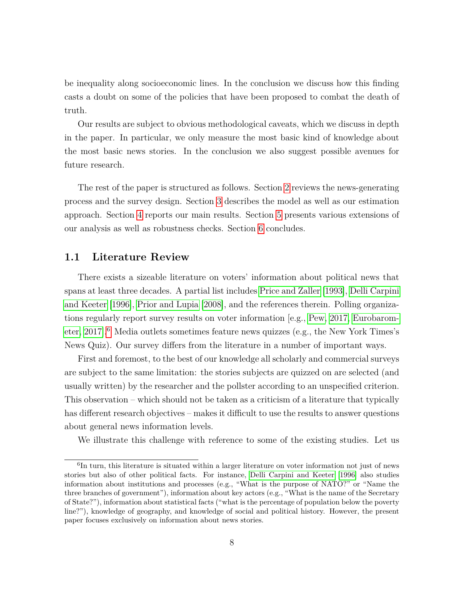be inequality along socioeconomic lines. In the conclusion we discuss how this finding casts a doubt on some of the policies that have been proposed to combat the death of truth.

Our results are subject to obvious methodological caveats, which we discuss in depth in the paper. In particular, we only measure the most basic kind of knowledge about the most basic news stories. In the conclusion we also suggest possible avenues for future research.

The rest of the paper is structured as follows. Section [2](#page-10-0) reviews the news-generating process and the survey design. Section [3](#page-16-0) describes the model as well as our estimation approach. Section [4](#page-22-0) reports our main results. Section [5](#page-39-0) presents various extensions of our analysis as well as robustness checks. Section [6](#page-42-0) concludes.

#### **1.1 Literature Review**

There exists a sizeable literature on voters' information about political news that spans at least three decades. A partial list includes [Price and Zaller](#page-47-6) [\[1993\]](#page-47-6), [Delli Carpini](#page-44-9) [and Keeter](#page-44-9) [\[1996\]](#page-44-9), [Prior and Lupia](#page-47-2) [\[2008\]](#page-47-2), and the references therein. Polling organizations regularly report survey results on voter information [e.g., [Pew, 2017,](#page-47-7) [Eurobarom](#page-44-10)[eter, 2017\]](#page-44-10).<sup>[6](#page-0-0)</sup> Media outlets sometimes feature news quizzes (e.g., the New York Times's News Quiz). Our survey differs from the literature in a number of important ways.

First and foremost, to the best of our knowledge all scholarly and commercial surveys are subject to the same limitation: the stories subjects are quizzed on are selected (and usually written) by the researcher and the pollster according to an unspecified criterion. This observation – which should not be taken as a criticism of a literature that typically has different research objectives – makes it difficult to use the results to answer questions about general news information levels.

We illustrate this challenge with reference to some of the existing studies. Let us

<sup>&</sup>lt;sup>6</sup>In turn, this literature is situated within a larger literature on voter information not just of news stories but also of other political facts. For instance, [Delli Carpini and Keeter](#page-44-9) [\[1996\]](#page-44-9) also studies information about institutions and processes (e.g., "What is the purpose of NATO?" or "Name the three branches of government"), information about key actors (e.g., "What is the name of the Secretary of State?"), information about statistical facts ("what is the percentage of population below the poverty line?"), knowledge of geography, and knowledge of social and political history. However, the present paper focuses exclusively on information about news stories.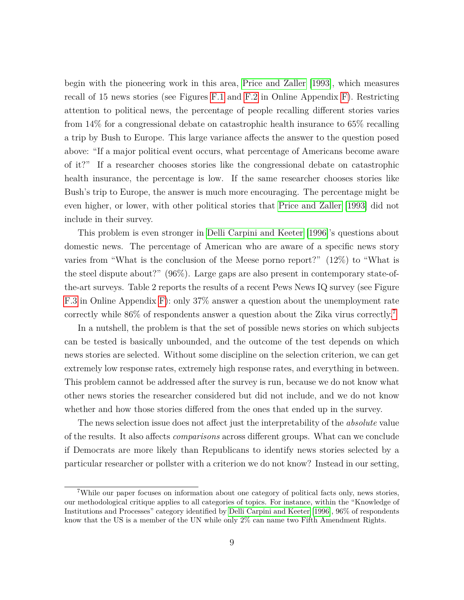begin with the pioneering work in this area, [Price and Zaller](#page-47-6) [\[1993\]](#page-47-6), which measures recall of 15 news stories (see Figures [F.1](#page-0-0) and [F.2](#page-0-0) in Online Appendix [F\)](#page-0-0). Restricting attention to political news, the percentage of people recalling different stories varies from 14% for a congressional debate on catastrophic health insurance to 65% recalling a trip by Bush to Europe. This large variance affects the answer to the question posed above: "If a major political event occurs, what percentage of Americans become aware of it?" If a researcher chooses stories like the congressional debate on catastrophic health insurance, the percentage is low. If the same researcher chooses stories like Bush's trip to Europe, the answer is much more encouraging. The percentage might be even higher, or lower, with other political stories that [Price and Zaller](#page-47-6) [\[1993\]](#page-47-6) did not include in their survey.

This problem is even stronger in [Delli Carpini and Keeter](#page-44-9) [\[1996\]](#page-44-9)'s questions about domestic news. The percentage of American who are aware of a specific news story varies from "What is the conclusion of the Meese porno report?" (12%) to "What is the steel dispute about?" (96%). Large gaps are also present in contemporary state-ofthe-art surveys. Table 2 reports the results of a recent Pews News IQ survey (see Figure [F.3](#page-0-0) in Online Appendix [F\)](#page-0-0): only 37% answer a question about the unemployment rate correctly while 86% of respondents answer a question about the Zika virus correctly.[7](#page-0-0)

In a nutshell, the problem is that the set of possible news stories on which subjects can be tested is basically unbounded, and the outcome of the test depends on which news stories are selected. Without some discipline on the selection criterion, we can get extremely low response rates, extremely high response rates, and everything in between. This problem cannot be addressed after the survey is run, because we do not know what other news stories the researcher considered but did not include, and we do not know whether and how those stories differed from the ones that ended up in the survey.

The news selection issue does not affect just the interpretability of the *absolute* value of the results. It also affects *comparisons* across different groups. What can we conclude if Democrats are more likely than Republicans to identify news stories selected by a particular researcher or pollster with a criterion we do not know? Instead in our setting,

<sup>7</sup>While our paper focuses on information about one category of political facts only, news stories, our methodological critique applies to all categories of topics. For instance, within the "Knowledge of Institutions and Processes" category identified by [Delli Carpini and Keeter](#page-44-9) [\[1996\]](#page-44-9), 96% of respondents know that the US is a member of the UN while only 2% can name two Fifth Amendment Rights.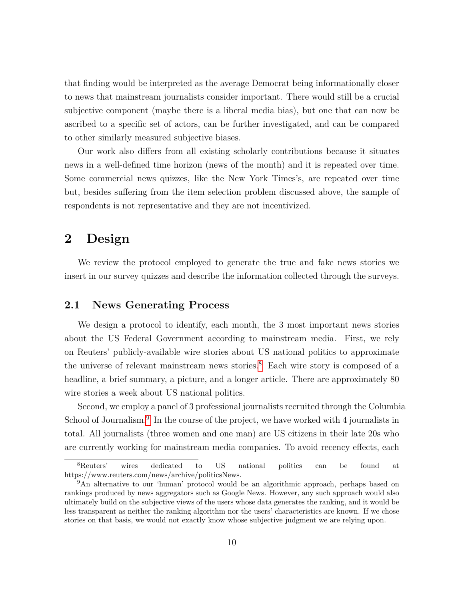that finding would be interpreted as the average Democrat being informationally closer to news that mainstream journalists consider important. There would still be a crucial subjective component (maybe there is a liberal media bias), but one that can now be ascribed to a specific set of actors, can be further investigated, and can be compared to other similarly measured subjective biases.

Our work also differs from all existing scholarly contributions because it situates news in a well-defined time horizon (news of the month) and it is repeated over time. Some commercial news quizzes, like the New York Times's, are repeated over time but, besides suffering from the item selection problem discussed above, the sample of respondents is not representative and they are not incentivized.

# <span id="page-10-0"></span>**2 Design**

We review the protocol employed to generate the true and fake news stories we insert in our survey quizzes and describe the information collected through the surveys.

### **2.1 News Generating Process**

We design a protocol to identify, each month, the 3 most important news stories about the US Federal Government according to mainstream media. First, we rely on Reuters' publicly-available wire stories about US national politics to approximate the universe of relevant mainstream news stories.<sup>[8](#page-0-0)</sup> Each wire story is composed of a headline, a brief summary, a picture, and a longer article. There are approximately 80 wire stories a week about US national politics.

Second, we employ a panel of 3 professional journalists recruited through the Columbia School of Journalism.<sup>[9](#page-0-0)</sup> In the course of the project, we have worked with 4 journalists in total. All journalists (three women and one man) are US citizens in their late 20s who are currently working for mainstream media companies. To avoid recency effects, each

<sup>&</sup>lt;sup>8</sup>Reuters' wires dedicated to US national politics can be found at https://www.reuters.com/news/archive/politicsNews.

<sup>&</sup>lt;sup>9</sup>An alternative to our 'human' protocol would be an algorithmic approach, perhaps based on rankings produced by news aggregators such as Google News. However, any such approach would also ultimately build on the subjective views of the users whose data generates the ranking, and it would be less transparent as neither the ranking algorithm nor the users' characteristics are known. If we chose stories on that basis, we would not exactly know whose subjective judgment we are relying upon.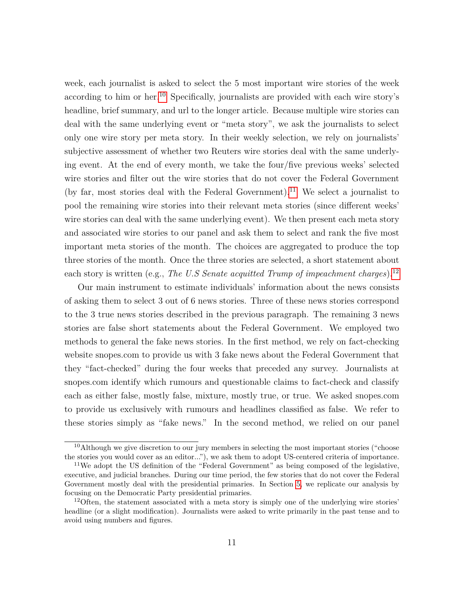week, each journalist is asked to select the 5 most important wire stories of the week according to him or her.<sup>[10](#page-0-0)</sup> Specifically, journalists are provided with each wire story's headline, brief summary, and url to the longer article. Because multiple wire stories can deal with the same underlying event or "meta story", we ask the journalists to select only one wire story per meta story. In their weekly selection, we rely on journalists' subjective assessment of whether two Reuters wire stories deal with the same underlying event. At the end of every month, we take the four/five previous weeks' selected wire stories and filter out the wire stories that do not cover the Federal Government (by far, most stories deal with the Federal Government).<sup>[11](#page-0-0)</sup> We select a journalist to pool the remaining wire stories into their relevant meta stories (since different weeks' wire stories can deal with the same underlying event). We then present each meta story and associated wire stories to our panel and ask them to select and rank the five most important meta stories of the month. The choices are aggregated to produce the top three stories of the month. Once the three stories are selected, a short statement about each story is written (e.g., *The U.S Senate acquitted Trump of impeachment charges*).<sup>[12](#page-0-0)</sup>

Our main instrument to estimate individuals' information about the news consists of asking them to select 3 out of 6 news stories. Three of these news stories correspond to the 3 true news stories described in the previous paragraph. The remaining 3 news stories are false short statements about the Federal Government. We employed two methods to general the fake news stories. In the first method, we rely on fact-checking website snopes.com to provide us with 3 fake news about the Federal Government that they "fact-checked" during the four weeks that preceded any survey. Journalists at snopes.com identify which rumours and questionable claims to fact-check and classify each as either false, mostly false, mixture, mostly true, or true. We asked snopes.com to provide us exclusively with rumours and headlines classified as false. We refer to these stories simply as "fake news." In the second method, we relied on our panel

 $10$ Although we give discretion to our jury members in selecting the most important stories ("choose the stories you would cover as an editor..."), we ask them to adopt US-centered criteria of importance.

<sup>&</sup>lt;sup>11</sup>We adopt the US definition of the "Federal Government" as being composed of the legislative, executive, and judicial branches. During our time period, the few stories that do not cover the Federal Government mostly deal with the presidential primaries. In Section [5,](#page-39-0) we replicate our analysis by focusing on the Democratic Party presidential primaries.

<sup>&</sup>lt;sup>12</sup>Often, the statement associated with a meta story is simply one of the underlying wire stories' headline (or a slight modification). Journalists were asked to write primarily in the past tense and to avoid using numbers and figures.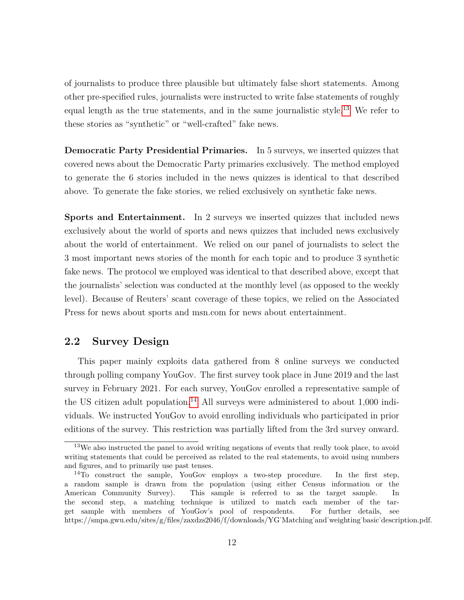of journalists to produce three plausible but ultimately false short statements. Among other pre-specified rules, journalists were instructed to write false statements of roughly equal length as the true statements, and in the same journalistic style.[13](#page-0-0) We refer to these stories as "synthetic" or "well-crafted" fake news.

**Democratic Party Presidential Primaries.** In 5 surveys, we inserted quizzes that covered news about the Democratic Party primaries exclusively. The method employed to generate the 6 stories included in the news quizzes is identical to that described above. To generate the fake stories, we relied exclusively on synthetic fake news.

**Sports and Entertainment.** In 2 surveys we inserted quizzes that included news exclusively about the world of sports and news quizzes that included news exclusively about the world of entertainment. We relied on our panel of journalists to select the 3 most important news stories of the month for each topic and to produce 3 synthetic fake news. The protocol we employed was identical to that described above, except that the journalists' selection was conducted at the monthly level (as opposed to the weekly level). Because of Reuters' scant coverage of these topics, we relied on the Associated Press for news about sports and msn.com for news about entertainment.

### **2.2 Survey Design**

This paper mainly exploits data gathered from 8 online surveys we conducted through polling company YouGov. The first survey took place in June 2019 and the last survey in February 2021. For each survey, YouGov enrolled a representative sample of the US citizen adult population.<sup>[14](#page-0-0)</sup> All surveys were administered to about  $1,000$  individuals. We instructed YouGov to avoid enrolling individuals who participated in prior editions of the survey. This restriction was partially lifted from the 3rd survey onward.

<sup>&</sup>lt;sup>13</sup>We also instructed the panel to avoid writing negations of events that really took place, to avoid writing statements that could be perceived as related to the real statements, to avoid using numbers and figures, and to primarily use past tenses.

<sup>14</sup>To construct the sample, YouGov employs a two-step procedure. In the first step, a random sample is drawn from the population (using either Census information or the American Community Survey). This sample is referred to as the target sample. In the second step, a matching technique is utilized to match each member of the target sample with members of YouGov's pool of respondents. For further details, see https://smpa.gwu.edu/sites/g/files/zaxdzs2046/f/downloads/YG˙Matching˙and˙weighting˙basic˙description.pdf.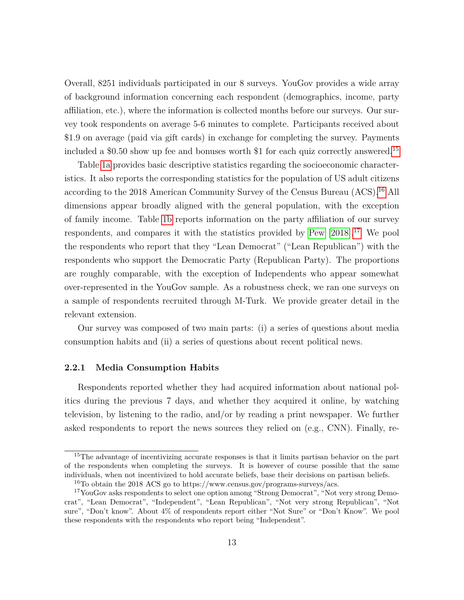Overall, 8251 individuals participated in our 8 surveys. YouGov provides a wide array of background information concerning each respondent (demographics, income, party affiliation, etc.), where the information is collected months before our surveys. Our survey took respondents on average 5-6 minutes to complete. Participants received about \$1.9 on average (paid via gift cards) in exchange for completing the survey. Payments included a \$0.50 show up fee and bonuses worth \$1 for each quiz correctly answered.<sup>[15](#page-0-0)</sup>

Table [1a](#page-14-0) provides basic descriptive statistics regarding the socioeconomic characteristics. It also reports the corresponding statistics for the population of US adult citizens according to the 2018 American Community Survey of the Census Bureau  $(ACS).^{16}$  $(ACS).^{16}$  $(ACS).^{16}$  All dimensions appear broadly aligned with the general population, with the exception of family income. Table [1b](#page-14-0) reports information on the party affiliation of our survey respondents, and compares it with the statistics provided by [Pew](#page-47-8) [\[2018\]](#page-47-8).<sup>[17](#page-0-0)</sup> We pool the respondents who report that they "Lean Democrat" ("Lean Republican") with the respondents who support the Democratic Party (Republican Party). The proportions are roughly comparable, with the exception of Independents who appear somewhat over-represented in the YouGov sample. As a robustness check, we ran one surveys on a sample of respondents recruited through M-Turk. We provide greater detail in the relevant extension.

Our survey was composed of two main parts: (i) a series of questions about media consumption habits and (ii) a series of questions about recent political news.

#### **2.2.1 Media Consumption Habits**

Respondents reported whether they had acquired information about national politics during the previous 7 days, and whether they acquired it online, by watching television, by listening to the radio, and/or by reading a print newspaper. We further asked respondents to report the news sources they relied on (e.g., CNN). Finally, re-

<sup>&</sup>lt;sup>15</sup>The advantage of incentivizing accurate responses is that it limits partisan behavior on the part of the respondents when completing the surveys. It is however of course possible that the same individuals, when not incentivized to hold accurate beliefs, base their decisions on partisan beliefs.

<sup>16</sup>To obtain the 2018 ACS go to https://www.census.gov/programs-surveys/acs.

<sup>&</sup>lt;sup>17</sup>YouGov asks respondents to select one option among "Strong Democrat", "Not very strong Democrat", "Lean Democrat", "Independent", "Lean Republican", "Not very strong Republican", "Not sure", "Don't know". About 4% of respondents report either "Not Sure" or "Don't Know". We pool these respondents with the respondents who report being "Independent".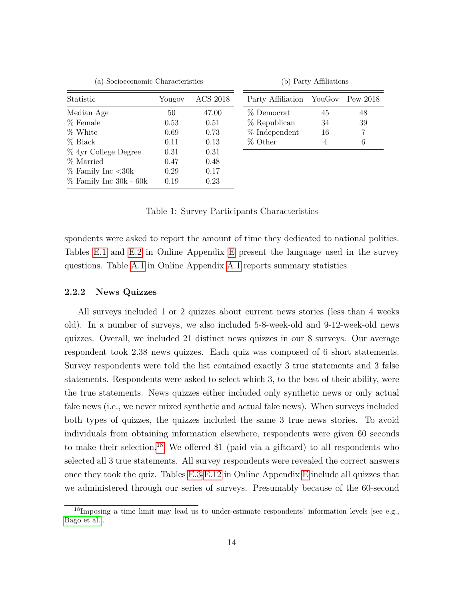|  | (a) Socioeconomic Characteristics |  |
|--|-----------------------------------|--|
|--|-----------------------------------|--|

(b) Party Affiliations

<span id="page-14-0"></span>

| Statistic              | Yougov | <b>ACS 2018</b> |
|------------------------|--------|-----------------|
| Median Age             | 50     | 47.00           |
| % Female               | 0.53   | 0.51            |
| % White                | 0.69   | 0.73            |
| % Black                | 0.11   | 0.13            |
| % 4yr College Degree   | 0.31   | 0.31            |
| % Married              | 0.47   | 0.48            |
| $%$ Family Inc $<$ 30k | 0.29   | 0.17            |
| % Family Inc 30k - 60k | 0.19   | 0.23            |

| Party Affiliation YouGov Pew 2018 |    |    |
|-----------------------------------|----|----|
| % Democrat                        | 45 | 48 |
| % Republican                      | 34 | 39 |
| % Independent                     | 16 |    |
| % Other                           |    | б  |

Table 1: Survey Participants Characteristics

spondents were asked to report the amount of time they dedicated to national politics. Tables [E.1](#page-36-0) and [E.2](#page-0-0) in Online Appendix [E](#page-0-0) present the language used in the survey questions. Table [A.1](#page-0-0) in Online Appendix [A.1](#page-0-0) reports summary statistics.

#### <span id="page-14-1"></span>**2.2.2 News Quizzes**

All surveys included 1 or 2 quizzes about current news stories (less than 4 weeks old). In a number of surveys, we also included 5-8-week-old and 9-12-week-old news quizzes. Overall, we included 21 distinct news quizzes in our 8 surveys. Our average respondent took 2.38 news quizzes. Each quiz was composed of 6 short statements. Survey respondents were told the list contained exactly 3 true statements and 3 false statements. Respondents were asked to select which 3, to the best of their ability, were the true statements. News quizzes either included only synthetic news or only actual fake news (i.e., we never mixed synthetic and actual fake news). When surveys included both types of quizzes, the quizzes included the same 3 true news stories. To avoid individuals from obtaining information elsewhere, respondents were given 60 seconds to make their selection.<sup>[18](#page-0-0)</sup> We offered \$1 (paid via a giftcard) to all respondents who selected all 3 true statements. All survey respondents were revealed the correct answers once they took the quiz. Tables [E.3](#page-54-0)[-E.12](#page-0-0) in Online Appendix [E](#page-0-0) include all quizzes that we administered through our series of surveys. Presumably because of the 60-second

<sup>&</sup>lt;sup>18</sup>Imposing a time limit may lead us to under-estimate respondents' information levels [see e.g., [Bago et al.\]](#page-43-9).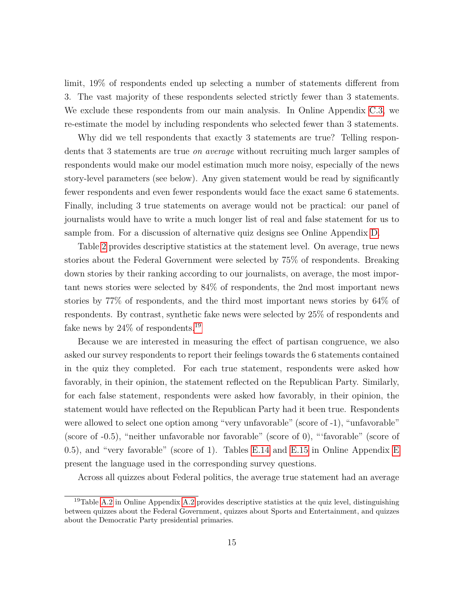limit, 19% of respondents ended up selecting a number of statements different from 3. The vast majority of these respondents selected strictly fewer than 3 statements. We exclude these respondents from our main analysis. In Online Appendix [C.3,](#page-0-0) we re-estimate the model by including respondents who selected fewer than 3 statements.

Why did we tell respondents that exactly 3 statements are true? Telling respondents that 3 statements are true *on average* without recruiting much larger samples of respondents would make our model estimation much more noisy, especially of the news story-level parameters (see below). Any given statement would be read by significantly fewer respondents and even fewer respondents would face the exact same 6 statements. Finally, including 3 true statements on average would not be practical: our panel of journalists would have to write a much longer list of real and false statement for us to sample from. For a discussion of alternative quiz designs see Online Appendix [D.](#page-0-0)

Table [2](#page-16-1) provides descriptive statistics at the statement level. On average, true news stories about the Federal Government were selected by 75% of respondents. Breaking down stories by their ranking according to our journalists, on average, the most important news stories were selected by 84% of respondents, the 2nd most important news stories by 77% of respondents, and the third most important news stories by 64% of respondents. By contrast, synthetic fake news were selected by 25% of respondents and fake news by  $24\%$  of respondents.<sup>[19](#page-0-0)</sup>

Because we are interested in measuring the effect of partisan congruence, we also asked our survey respondents to report their feelings towards the 6 statements contained in the quiz they completed. For each true statement, respondents were asked how favorably, in their opinion, the statement reflected on the Republican Party. Similarly, for each false statement, respondents were asked how favorably, in their opinion, the statement would have reflected on the Republican Party had it been true. Respondents were allowed to select one option among "very unfavorable" (score of -1), "unfavorable" (score of -0.5), "neither unfavorable nor favorable" (score of 0), "'favorable" (score of 0.5), and "very favorable" (score of 1). Tables [E.14](#page-0-0) and [E.15](#page-0-0) in Online Appendix [E](#page-0-0) present the language used in the corresponding survey questions.

Across all quizzes about Federal politics, the average true statement had an average

<sup>&</sup>lt;sup>19</sup>Table [A.2](#page-0-0) in Online Appendix A.2 provides descriptive statistics at the quiz level, distinguishing between quizzes about the Federal Government, quizzes about Sports and Entertainment, and quizzes about the Democratic Party presidential primaries.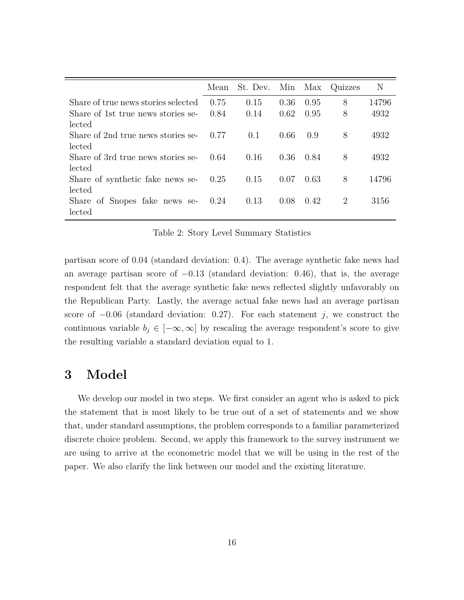<span id="page-16-1"></span>

|                                     | Mean | St. Dev. | Min Max |      | Quizzes | N     |
|-------------------------------------|------|----------|---------|------|---------|-------|
| Share of true news stories selected | 0.75 | 0.15     | 0.36    | 0.95 | 8       | 14796 |
| Share of 1st true news stories se-  | 0.84 | 0.14     | 0.62    | 0.95 | 8       | 4932  |
| lected                              |      |          |         |      |         |       |
| Share of 2nd true news stories se-  | 0.77 | 0.1      | 0.66    | 0.9  | 8       | 4932  |
| lected                              |      |          |         |      |         |       |
| Share of 3rd true news stories se-  | 0.64 | 0.16     | 0.36    | 0.84 | 8       | 4932  |
| lected                              |      |          |         |      |         |       |
| Share of synthetic fake news se-    | 0.25 | 0.15     | 0.07    | 0.63 | 8       | 14796 |
| lected                              |      |          |         |      |         |       |
| Share of Snopes fake news se-       | 0.24 | 0.13     | 0.08    | 0.42 | 2       | 3156  |
| lected                              |      |          |         |      |         |       |

Table 2: Story Level Summary Statistics

partisan score of 0*.*04 (standard deviation: 0.4). The average synthetic fake news had an average partisan score of −0*.*13 (standard deviation: 0.46), that is, the average respondent felt that the average synthetic fake news reflected slightly unfavorably on the Republican Party. Lastly, the average actual fake news had an average partisan score of −0*.*06 (standard deviation: 0.27). For each statement *j*, we construct the continuous variable  $b_j \in [-\infty, \infty]$  by rescaling the average respondent's score to give the resulting variable a standard deviation equal to 1.

# <span id="page-16-0"></span>**3 Model**

We develop our model in two steps. We first consider an agent who is asked to pick the statement that is most likely to be true out of a set of statements and we show that, under standard assumptions, the problem corresponds to a familiar parameterized discrete choice problem. Second, we apply this framework to the survey instrument we are using to arrive at the econometric model that we will be using in the rest of the paper. We also clarify the link between our model and the existing literature.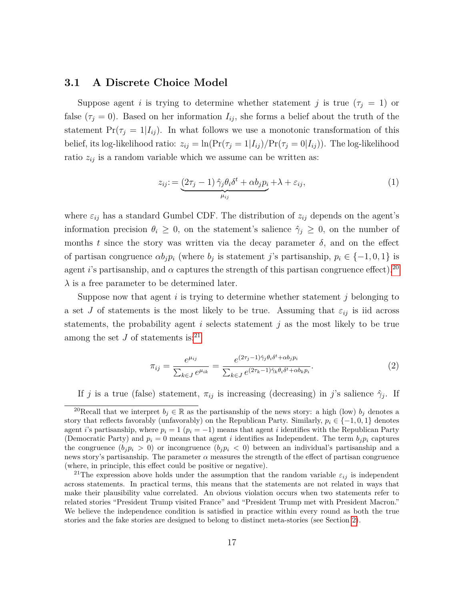#### **3.1 A Discrete Choice Model**

Suppose agent *i* is trying to determine whether statement *j* is true  $(\tau_j = 1)$  or false  $(\tau_j = 0)$ . Based on her information  $I_{ij}$ , she forms a belief about the truth of the statement  $Pr(\tau_j = 1 | I_{ij})$ . In what follows we use a monotonic transformation of this belief, its log-likelihood ratio:  $z_{ij} = \ln(\Pr(\tau_j = 1 | I_{ij}) / \Pr(\tau_j = 0 | I_{ij}))$ . The log-likelihood ratio  $z_{ij}$  is a random variable which we assume can be written as:

$$
z_{ij} := \underbrace{(2\tau_j - 1)\,\hat{\gamma}_j\theta_i\delta^t + \alpha b_j p_i}_{\mu_{ij}} + \lambda + \varepsilon_{ij},\tag{1}
$$

where  $\varepsilon_{ij}$  has a standard Gumbel CDF. The distribution of  $z_{ij}$  depends on the agent's information precision  $\theta_i \geq 0$ , on the statement's salience  $\hat{\gamma}_i \geq 0$ , on the number of months *t* since the story was written via the decay parameter  $\delta$ , and on the effect of partisan congruence  $\alpha b_j p_i$  (where  $b_j$  is statement *j*'s partisanship,  $p_i \in \{-1, 0, 1\}$  is agent *i*'s partisanship, and  $\alpha$  captures the strength of this partisan congruence effect).<sup>[20](#page-0-0)</sup> *λ* is a free parameter to be determined later.

Suppose now that agent *i* is trying to determine whether statement *j* belonging to a set *J* of statements is the most likely to be true. Assuming that  $\varepsilon_{ij}$  is iid across statements, the probability agent *i* selects statement *j* as the most likely to be true among the set  $J$  of statements is:<sup>[21](#page-0-0)</sup>

<span id="page-17-0"></span>
$$
\pi_{ij} = \frac{e^{\mu_{ij}}}{\sum_{k \in J} e^{\mu_{ik}}} = \frac{e^{(2\tau_j - 1)\hat{\gamma}_j \theta_i \delta^t + \alpha b_j p_i}}{\sum_{k \in J} e^{(2\tau_k - 1)\hat{\gamma}_k \theta_i \delta^t + \alpha b_k p_i}}.
$$
\n
$$
(2)
$$

If *j* is a true (false) statement,  $\pi_{ij}$  is increasing (decreasing) in *j*'s salience  $\hat{\gamma}_j$ . If

<sup>&</sup>lt;sup>20</sup>Recall that we interpret  $b_j \in \mathbb{R}$  as the partisanship of the news story: a high (low)  $b_j$  denotes a story that reflects favorably (unfavorably) on the Republican Party. Similarly,  $p_i \in \{-1, 0, 1\}$  denotes agent *i*'s partisanship, where  $p_i = 1$  ( $p_i = -1$ ) means that agent *i* identifies with the Republican Party (Democratic Party) and  $p_i = 0$  means that agent *i* identifies as Independent. The term  $b_i p_i$  captures the congruence  $(b_i p_i > 0)$  or incongruence  $(b_i p_i < 0)$  between an individual's partisanship and a news story's partisanship. The parameter  $\alpha$  measures the strength of the effect of partisan congruence (where, in principle, this effect could be positive or negative).

<sup>&</sup>lt;sup>21</sup>The expression above holds under the assumption that the random variable  $\varepsilon_{ij}$  is independent across statements. In practical terms, this means that the statements are not related in ways that make their plausibility value correlated. An obvious violation occurs when two statements refer to related stories "President Trump visited France" and "President Trump met with President Macron." We believe the independence condition is satisfied in practice within every round as both the true stories and the fake stories are designed to belong to distinct meta-stories (see Section [2\)](#page-10-0).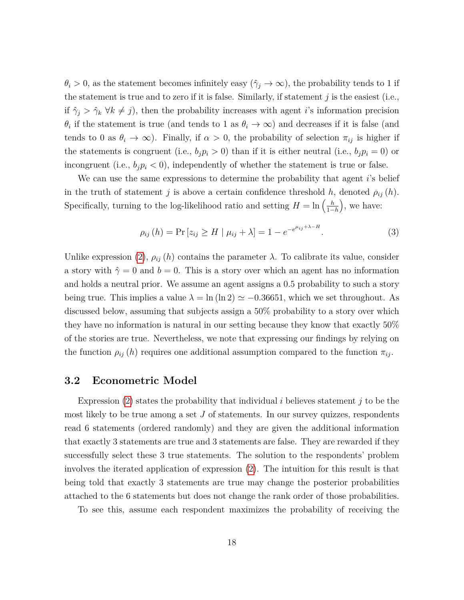$\theta_i > 0$ , as the statement becomes infinitely easy  $(\hat{\gamma}_j \to \infty)$ , the probability tends to 1 if the statement is true and to zero if it is false. Similarly, if statement *j* is the easiest (i.e., if  $\hat{\gamma}_j > \hat{\gamma}_k \ \forall k \neq j$ , then the probability increases with agent *i*'s information precision  $\theta_i$  if the statement is true (and tends to 1 as  $\theta_i \to \infty$ ) and decreases if it is false (and tends to 0 as  $\theta_i \to \infty$ ). Finally, if  $\alpha > 0$ , the probability of selection  $\pi_{ij}$  is higher if the statements is congruent (i.e.,  $b_j p_i > 0$ ) than if it is either neutral (i.e.,  $b_j p_i = 0$ ) or incongruent (i.e.,  $b_j p_i < 0$ ), independently of whether the statement is true or false.

We can use the same expressions to determine the probability that agent *i*'s belief in the truth of statement *j* is above a certain confidence threshold *h*, denoted  $\rho_{ij}(h)$ . Specifically, turning to the log-likelihood ratio and setting  $H = \ln\left(\frac{h}{1-h}\right)$ 1−*h* , we have:

$$
\rho_{ij}(h) = \Pr\left[z_{ij} \ge H \mid \mu_{ij} + \lambda\right] = 1 - e^{-e^{\mu_{ij} + \lambda - H}}.\tag{3}
$$

<span id="page-18-0"></span>*µij*+*λ*−*H*

Unlike expression [\(2\)](#page-17-0),  $\rho_{ij}(h)$  contains the parameter  $\lambda$ . To calibrate its value, consider a story with  $\hat{\gamma} = 0$  and  $b = 0$ . This is a story over which an agent has no information and holds a neutral prior. We assume an agent assigns a 0.5 probability to such a story being true. This implies a value  $\lambda = \ln(\ln 2) \simeq -0.36651$ , which we set throughout. As discussed below, assuming that subjects assign a 50% probability to a story over which they have no information is natural in our setting because they know that exactly 50% of the stories are true. Nevertheless, we note that expressing our findings by relying on the function  $\rho_{ij}(h)$  requires one additional assumption compared to the function  $\pi_{ij}$ .

#### **3.2 Econometric Model**

Expression [\(2\)](#page-17-0) states the probability that individual *i* believes statement *j* to be the most likely to be true among a set *J* of statements. In our survey quizzes, respondents read 6 statements (ordered randomly) and they are given the additional information that exactly 3 statements are true and 3 statements are false. They are rewarded if they successfully select these 3 true statements. The solution to the respondents' problem involves the iterated application of expression [\(2\)](#page-17-0). The intuition for this result is that being told that exactly 3 statements are true may change the posterior probabilities attached to the 6 statements but does not change the rank order of those probabilities.

To see this, assume each respondent maximizes the probability of receiving the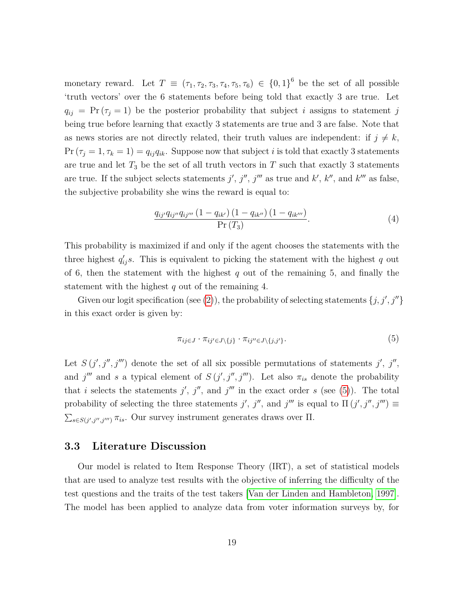monetary reward. Let  $T \equiv (\tau_1, \tau_2, \tau_3, \tau_4, \tau_5, \tau_6) \in \{0,1\}^6$  be the set of all possible 'truth vectors' over the 6 statements before being told that exactly 3 are true. Let  $q_{ij}$  = Pr ( $\tau_j$  = 1) be the posterior probability that subject *i* assigns to statement *j* being true before learning that exactly 3 statements are true and 3 are false. Note that as news stories are not directly related, their truth values are independent: if  $j \neq k$ ,  $Pr(\tau_j = 1, \tau_k = 1) = q_{ij}q_{ik}$ . Suppose now that subject *i* is told that exactly 3 statements are true and let  $T_3$  be the set of all truth vectors in  $T$  such that exactly 3 statements are true. If the subject selects statements  $j', j'', j'''$  as true and  $k', k''$ , and  $k''''$  as false, the subjective probability she wins the reward is equal to:

$$
\frac{q_{ij'}q_{ij''}q_{ij'''}(1-q_{ik'}) (1-q_{ik''}) (1-q_{ik''})}{\Pr(T_3)}.
$$
\n(4)

This probability is maximized if and only if the agent chooses the statements with the three highest  $q'_{ij}$ *s*. This is equivalent to picking the statement with the highest *q* out of 6, then the statement with the highest *q* out of the remaining 5, and finally the statement with the highest *q* out of the remaining 4.

Given our logit specification (see [\(2\)](#page-17-0)), the probability of selecting statements  $\{j, j', j''\}$ in this exact order is given by:

<span id="page-19-0"></span>
$$
\pi_{ij\in J} \cdot \pi_{ij'\in J\setminus\{j\}} \cdot \pi_{ij''\in J\setminus\{j,j'\}}.\tag{5}
$$

Let  $S(j', j'', j''')$  denote the set of all six possible permutations of statements j', j'', and  $j^{\prime\prime\prime}$  and *s* a typical element of  $S(j', j'', j''')$ . Let also  $\pi_{is}$  denote the probability that *i* selects the statements  $j'$ ,  $j''$ , and  $j'''$  in the exact order *s* (see [\(5\)](#page-19-0)). The total probability of selecting the three statements *j'*, *j''*, and *j'''* is equal to  $\Pi(j', j'', j''') \equiv$  $\sum_{s \in S(j',j'',j''')} \pi_{is}$ . Our survey instrument generates draws over  $\Pi$ .

#### **3.3 Literature Discussion**

Our model is related to Item Response Theory (IRT), a set of statistical models that are used to analyze test results with the objective of inferring the difficulty of the test questions and the traits of the test takers [\[Van der Linden and Hambleton, 1997\]](#page-48-9). The model has been applied to analyze data from voter information surveys by, for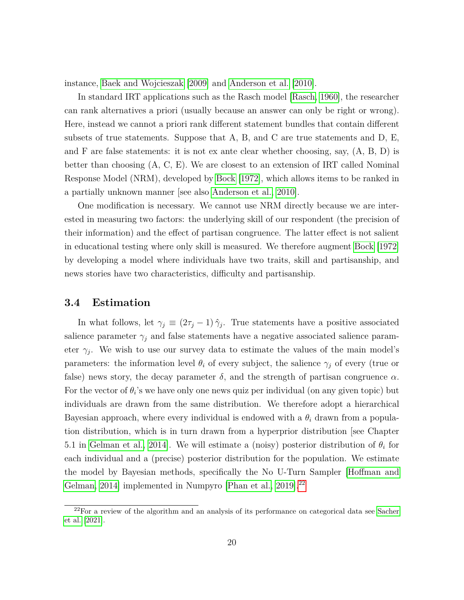instance, [Baek and Wojcieszak](#page-43-10) [\[2009\]](#page-43-10) and [Anderson et al.](#page-43-11) [\[2010\]](#page-43-11).

In standard IRT applications such as the Rasch model [\[Rasch, 1960\]](#page-48-10), the researcher can rank alternatives a priori (usually because an answer can only be right or wrong). Here, instead we cannot a priori rank different statement bundles that contain different subsets of true statements. Suppose that A, B, and C are true statements and D, E, and F are false statements: it is not ex ante clear whether choosing, say, (A, B, D) is better than choosing (A, C, E). We are closest to an extension of IRT called Nominal Response Model (NRM), developed by [Bock](#page-44-8) [\[1972\]](#page-44-8), which allows items to be ranked in a partially unknown manner [see also [Anderson et al., 2010\]](#page-43-11).

One modification is necessary. We cannot use NRM directly because we are interested in measuring two factors: the underlying skill of our respondent (the precision of their information) and the effect of partisan congruence. The latter effect is not salient in educational testing where only skill is measured. We therefore augment [Bock](#page-44-8) [\[1972\]](#page-44-8) by developing a model where individuals have two traits, skill and partisanship, and news stories have two characteristics, difficulty and partisanship.

#### **3.4 Estimation**

In what follows, let  $\gamma_j \equiv (2\tau_j - 1)\hat{\gamma}_j$ . True statements have a positive associated salience parameter  $\gamma_j$  and false statements have a negative associated salience parameter  $\gamma_j$ . We wish to use our survey data to estimate the values of the main model's parameters: the information level  $\theta_i$  of every subject, the salience  $\gamma_j$  of every (true or false) news story, the decay parameter  $\delta$ , and the strength of partisan congruence  $\alpha$ . For the vector of  $\theta_i$ 's we have only one news quiz per individual (on any given topic) but individuals are drawn from the same distribution. We therefore adopt a hierarchical Bayesian approach, where every individual is endowed with a *θ<sup>i</sup>* drawn from a population distribution, which is in turn drawn from a hyperprior distribution [see Chapter 5.1 in [Gelman et al., 2014\]](#page-45-10). We will estimate a (noisy) posterior distribution of  $\theta_i$  for each individual and a (precise) posterior distribution for the population. We estimate the model by Bayesian methods, specifically the No U-Turn Sampler [\[Hoffman and](#page-45-11) [Gelman, 2014\]](#page-45-11) implemented in Numpyro [\[Phan et al., 2019\]](#page-47-9).<sup>[22](#page-0-0)</sup>

 $22$ For a review of the algorithm and an analysis of its performance on categorical data see [Sacher](#page-48-11) [et al.](#page-48-11) [\[2021\]](#page-48-11).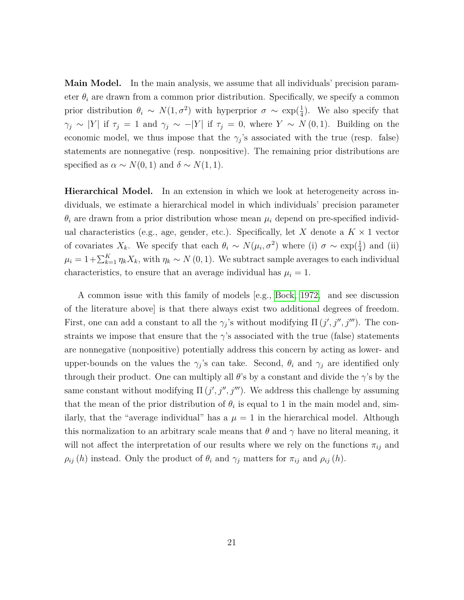**Main Model.** In the main analysis, we assume that all individuals' precision parameter  $\theta_i$  are drawn from a common prior distribution. Specifically, we specify a common prior distribution  $\theta_i \sim N(1, \sigma^2)$  with hyperprior  $\sigma \sim \exp(\frac{1}{4})$ . We also specify that  $\gamma_j \sim |Y|$  if  $\tau_j = 1$  and  $\gamma_j \sim -|Y|$  if  $\tau_j = 0$ , where  $Y \sim N(0, 1)$ . Building on the economic model, we thus impose that the  $\gamma_j$ 's associated with the true (resp. false) statements are nonnegative (resp. nonpositive). The remaining prior distributions are specified as  $\alpha \sim N(0, 1)$  and  $\delta \sim N(1, 1)$ .

**Hierarchical Model.** In an extension in which we look at heterogeneity across individuals, we estimate a hierarchical model in which individuals' precision parameter  $\theta_i$  are drawn from a prior distribution whose mean  $\mu_i$  depend on pre-specified individual characteristics (e.g., age, gender, etc.). Specifically, let *X* denote a  $K \times 1$  vector of covariates  $X_k$ . We specify that each  $\theta_i \sim N(\mu_i, \sigma^2)$  where (i)  $\sigma \sim \exp(\frac{1}{4})$  and (ii)  $\mu_i = 1 + \sum_{k=1}^K \eta_k X_k$ , with  $\eta_k \sim N(0, 1)$ . We subtract sample averages to each individual characteristics, to ensure that an average individual has  $\mu_i = 1$ .

A common issue with this family of models [e.g., [Bock, 1972,](#page-44-8) and see discussion of the literature above] is that there always exist two additional degrees of freedom. First, one can add a constant to all the  $\gamma_j$ 's without modifying  $\Pi(j', j'', j''')$ . The constraints we impose that ensure that the  $\gamma$ 's associated with the true (false) statements are nonnegative (nonpositive) potentially address this concern by acting as lower- and upper-bounds on the values the  $\gamma_j$ 's can take. Second,  $\theta_i$  and  $\gamma_j$  are identified only through their product. One can multiply all  $\theta$ 's by a constant and divide the  $\gamma$ 's by the same constant without modifying  $\Pi(j', j'', j''')$ . We address this challenge by assuming that the mean of the prior distribution of  $\theta_i$  is equal to 1 in the main model and, similarly, that the "average individual" has a  $\mu = 1$  in the hierarchical model. Although this normalization to an arbitrary scale means that  $\theta$  and  $\gamma$  have no literal meaning, it will not affect the interpretation of our results where we rely on the functions  $\pi_{ij}$  and  $\rho_{ij}(h)$  instead. Only the product of  $\theta_i$  and  $\gamma_j$  matters for  $\pi_{ij}$  and  $\rho_{ij}(h)$ .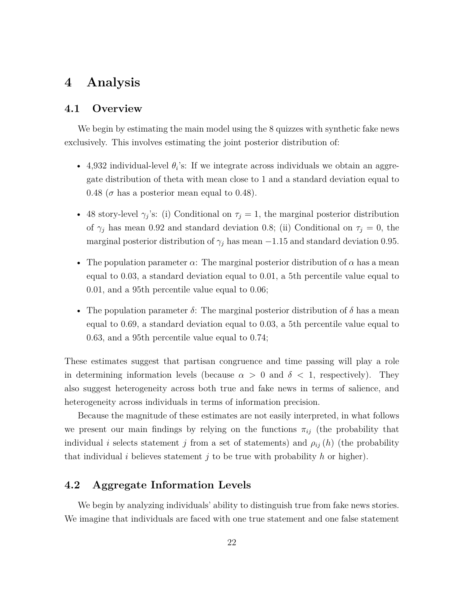### <span id="page-22-0"></span>**4 Analysis**

#### **4.1 Overview**

We begin by estimating the main model using the 8 quizzes with synthetic fake news exclusively. This involves estimating the joint posterior distribution of:

- 4,932 individual-level  $\theta_i$ 's: If we integrate across individuals we obtain an aggregate distribution of theta with mean close to 1 and a standard deviation equal to 0.48 ( $\sigma$  has a posterior mean equal to 0.48).
- 48 story-level  $\gamma_j$ 's: (i) Conditional on  $\tau_j = 1$ , the marginal posterior distribution of  $\gamma_j$  has mean 0.92 and standard deviation 0.8; (ii) Conditional on  $\tau_j = 0$ , the marginal posterior distribution of  $\gamma_j$  has mean  $-1.15$  and standard deviation 0.95.
- The population parameter  $\alpha$ : The marginal posterior distribution of  $\alpha$  has a mean equal to 0.03, a standard deviation equal to 0.01, a 5th percentile value equal to 0.01, and a 95th percentile value equal to 0.06;
- The population parameter  $\delta$ : The marginal posterior distribution of  $\delta$  has a mean equal to 0.69, a standard deviation equal to 0.03, a 5th percentile value equal to 0.63, and a 95th percentile value equal to 0.74;

These estimates suggest that partisan congruence and time passing will play a role in determining information levels (because  $\alpha > 0$  and  $\delta < 1$ , respectively). They also suggest heterogeneity across both true and fake news in terms of salience, and heterogeneity across individuals in terms of information precision.

Because the magnitude of these estimates are not easily interpreted, in what follows we present our main findings by relying on the functions  $\pi_{ij}$  (the probability that individual *i* selects statement *j* from a set of statements) and  $\rho_{ij}(h)$  (the probability that individual *i* believes statement *j* to be true with probability *h* or higher).

### **4.2 Aggregate Information Levels**

We begin by analyzing individuals' ability to distinguish true from fake news stories. We imagine that individuals are faced with one true statement and one false statement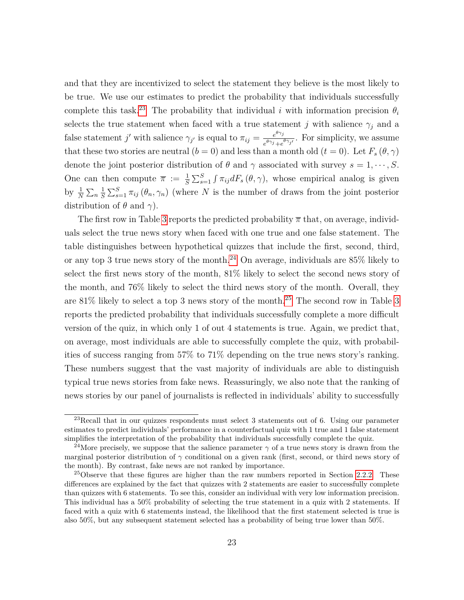and that they are incentivized to select the statement they believe is the most likely to be true. We use our estimates to predict the probability that individuals successfully complete this task.<sup>[23](#page-0-0)</sup> The probability that individual *i* with information precision  $\theta_i$ selects the true statement when faced with a true statement *j* with salience  $\gamma_j$  and a false statement *j'* with salience  $\gamma_{j'}$  is equal to  $\pi_{ij} = \frac{e^{\theta \gamma_{j}}}{\theta \gamma_{i,j}}$  $\frac{e^{i\theta}y}{e^{\theta}\gamma_j+e^{\theta}\gamma_j}$ . For simplicity, we assume that these two stories are neutral  $(b = 0)$  and less than a month old  $(t = 0)$ . Let  $F_s(\theta, \gamma)$ denote the joint posterior distribution of  $\theta$  and  $\gamma$  associated with survey  $s = 1, \dots, S$ . One can then compute  $\bar{\pi} := \frac{1}{S} \sum_{s=1}^{S} \int \pi_{ij} dF_s(\theta, \gamma)$ , whose empirical analog is given by  $\frac{1}{N} \sum_{n} \frac{1}{S}$  $\frac{1}{S} \sum_{s=1}^{S} \pi_{ij} (\theta_n, \gamma_n)$  (where *N* is the number of draws from the joint posterior distribution of  $\theta$  and  $\gamma$ ).

The first row in Table [3](#page-24-0) reports the predicted probability *π* that, on average, individuals select the true news story when faced with one true and one false statement. The table distinguishes between hypothetical quizzes that include the first, second, third, or any top 3 true news story of the month.<sup>[24](#page-0-0)</sup> On average, individuals are 85% likely to select the first news story of the month, 81% likely to select the second news story of the month, and 76% likely to select the third news story of the month. Overall, they are  $81\%$  likely to select a top 3 news story of the month.<sup>[25](#page-0-0)</sup> The second row in Table [3](#page-24-0) reports the predicted probability that individuals successfully complete a more difficult version of the quiz, in which only 1 of out 4 statements is true. Again, we predict that, on average, most individuals are able to successfully complete the quiz, with probabilities of success ranging from 57% to 71% depending on the true news story's ranking. These numbers suggest that the vast majority of individuals are able to distinguish typical true news stories from fake news. Reassuringly, we also note that the ranking of news stories by our panel of journalists is reflected in individuals' ability to successfully

 $^{23}$ Recall that in our quizzes respondents must select 3 statements out of 6. Using our parameter estimates to predict individuals' performance in a counterfactual quiz with 1 true and 1 false statement simplifies the interpretation of the probability that individuals successfully complete the quiz.

<sup>&</sup>lt;sup>24</sup>More precisely, we suppose that the salience parameter  $\gamma$  of a true news story is drawn from the marginal posterior distribution of *γ* conditional on a given rank (first, second, or third news story of the month). By contrast, fake news are not ranked by importance.

 $25$ Observe that these figures are higher than the raw numbers reported in Section [2.2.2.](#page-14-1) These differences are explained by the fact that quizzes with 2 statements are easier to successfully complete than quizzes with 6 statements. To see this, consider an individual with very low information precision. This individual has a 50% probability of selecting the true statement in a quiz with 2 statements. If faced with a quiz with 6 statements instead, the likelihood that the first statement selected is true is also 50%, but any subsequent statement selected has a probability of being true lower than 50%.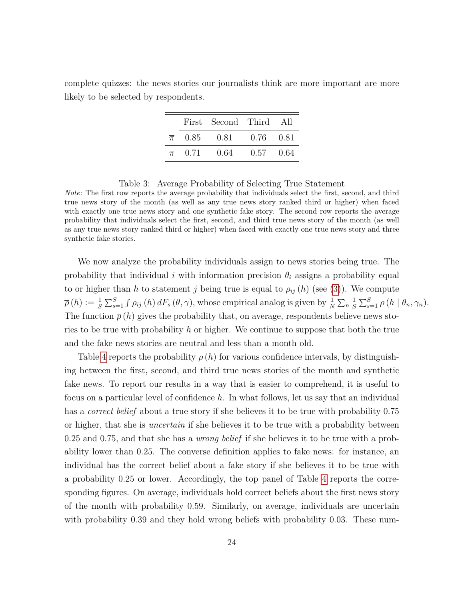<span id="page-24-0"></span>complete quizzes: the news stories our journalists think are more important are more likely to be selected by respondents.

|                  | First Second Third All          |             |  |
|------------------|---------------------------------|-------------|--|
|                  | $\bar{\pi}$ 0.85 0.81 0.76 0.81 |             |  |
| $\overline{\pi}$ | 0.71 0.64                       | $0.57$ 0.64 |  |

Table 3: Average Probability of Selecting True Statement

*Note*: The first row reports the average probability that individuals select the first, second, and third true news story of the month (as well as any true news story ranked third or higher) when faced with exactly one true news story and one synthetic fake story. The second row reports the average probability that individuals select the first, second, and third true news story of the month (as well as any true news story ranked third or higher) when faced with exactly one true news story and three synthetic fake stories.

We now analyze the probability individuals assign to news stories being true. The probability that individual *i* with information precision  $\theta_i$  assigns a probability equal to or higher than *h* to statement *j* being true is equal to  $\rho_{ij}(h)$  (see [\(3\)](#page-18-0)). We compute  $\overline{\rho}(h) := \frac{1}{S} \sum_{s=1}^{S} \int \rho_{ij}(h) dF_s(\theta, \gamma)$ , whose empirical analog is given by  $\frac{1}{N} \sum_{n} \frac{1}{S}$  $\frac{1}{S} \sum_{s=1}^{S} \rho(h \mid \theta_n, \gamma_n).$ The function  $\bar{\rho}(h)$  gives the probability that, on average, respondents believe news stories to be true with probability *h* or higher. We continue to suppose that both the true and the fake news stories are neutral and less than a month old.

Table [4](#page-25-0) reports the probability  $\bar{\rho}(h)$  for various confidence intervals, by distinguishing between the first, second, and third true news stories of the month and synthetic fake news. To report our results in a way that is easier to comprehend, it is useful to focus on a particular level of confidence *h*. In what follows, let us say that an individual has a *correct belief* about a true story if she believes it to be true with probability 0*.*75 or higher, that she is *uncertain* if she believes it to be true with a probability between 0*.*25 and 0*.*75, and that she has a *wrong belief* if she believes it to be true with a probability lower than 0*.*25. The converse definition applies to fake news: for instance, an individual has the correct belief about a fake story if she believes it to be true with a probability 0*.*25 or lower. Accordingly, the top panel of Table [4](#page-25-0) reports the corresponding figures. On average, individuals hold correct beliefs about the first news story of the month with probability 0.59. Similarly, on average, individuals are uncertain with probability 0.39 and they hold wrong beliefs with probability 0.03. These num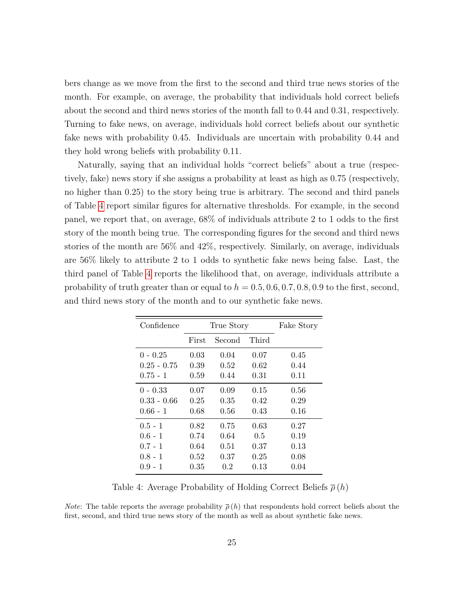bers change as we move from the first to the second and third true news stories of the month. For example, on average, the probability that individuals hold correct beliefs about the second and third news stories of the month fall to 0.44 and 0.31, respectively. Turning to fake news, on average, individuals hold correct beliefs about our synthetic fake news with probability 0.45. Individuals are uncertain with probability 0.44 and they hold wrong beliefs with probability 0.11.

Naturally, saying that an individual holds "correct beliefs" about a true (respectively, fake) news story if she assigns a probability at least as high as 0*.*75 (respectively, no higher than 0*.*25) to the story being true is arbitrary. The second and third panels of Table [4](#page-25-0) report similar figures for alternative thresholds. For example, in the second panel, we report that, on average, 68% of individuals attribute 2 to 1 odds to the first story of the month being true. The corresponding figures for the second and third news stories of the month are 56% and 42%, respectively. Similarly, on average, individuals are 56% likely to attribute 2 to 1 odds to synthetic fake news being false. Last, the third panel of Table [4](#page-25-0) reports the likelihood that, on average, individuals attribute a probability of truth greater than or equal to  $h = 0.5, 0.6, 0.7, 0.8, 0.9$  to the first, second, and third news story of the month and to our synthetic fake news.

<span id="page-25-0"></span>

| Confidence    |       | True Story | Fake Story |      |
|---------------|-------|------------|------------|------|
|               | First | Second     | Third      |      |
| $0 - 0.25$    | 0.03  | 0.04       | 0.07       | 0.45 |
| $0.25 - 0.75$ | 0.39  | 0.52       | 0.62       | 0.44 |
| $0.75 - 1$    | 0.59  | 0.44       | 0.31       | 0.11 |
| $0 - 0.33$    | 0.07  | 0.09       | 0.15       | 0.56 |
| $0.33 - 0.66$ | 0.25  | 0.35       | 0.42       | 0.29 |
| $0.66 - 1$    | 0.68  | 0.56       | 0.43       | 0.16 |
| $0.5 - 1$     | 0.82  | 0.75       | 0.63       | 0.27 |
| $0.6 - 1$     | 0.74  | 0.64       | 0.5        | 0.19 |
| $0.7 - 1$     | 0.64  | 0.51       | 0.37       | 0.13 |
| $0.8 - 1$     | 0.52  | 0.37       | 0.25       | 0.08 |
| $0.9 - 1$     | 0.35  | 0.2        | 0.13       | 0.04 |

Table 4: Average Probability of Holding Correct Beliefs *ρ* (*h*)

*Note*: The table reports the average probability  $\bar{\rho}(h)$  that respondents hold correct beliefs about the first, second, and third true news story of the month as well as about synthetic fake news.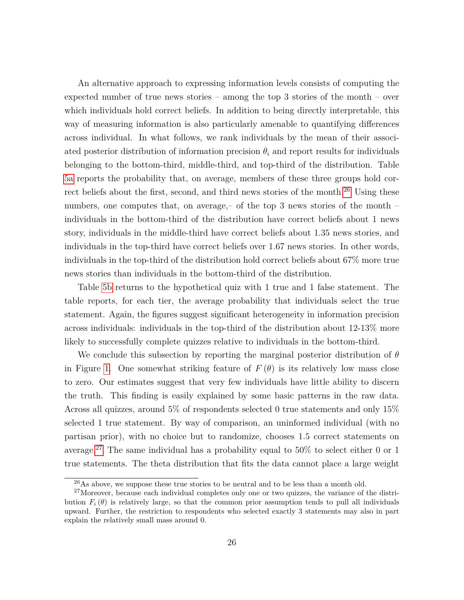An alternative approach to expressing information levels consists of computing the expected number of true news stories – among the top 3 stories of the month – over which individuals hold correct beliefs. In addition to being directly interpretable, this way of measuring information is also particularly amenable to quantifying differences across individual. In what follows, we rank individuals by the mean of their associated posterior distribution of information precision  $\theta_i$  and report results for individuals belonging to the bottom-third, middle-third, and top-third of the distribution. Table [5a](#page-27-0) reports the probability that, on average, members of these three groups hold cor-rect beliefs about the first, second, and third news stories of the month.<sup>[26](#page-0-0)</sup> Using these numbers, one computes that, on average,– of the top 3 news stories of the month – individuals in the bottom-third of the distribution have correct beliefs about 1 news story, individuals in the middle-third have correct beliefs about 1.35 news stories, and individuals in the top-third have correct beliefs over 1.67 news stories. In other words, individuals in the top-third of the distribution hold correct beliefs about 67% more true news stories than individuals in the bottom-third of the distribution.

Table [5b](#page-27-0) returns to the hypothetical quiz with 1 true and 1 false statement. The table reports, for each tier, the average probability that individuals select the true statement. Again, the figures suggest significant heterogeneity in information precision across individuals: individuals in the top-third of the distribution about 12-13% more likely to successfully complete quizzes relative to individuals in the bottom-third.

We conclude this subsection by reporting the marginal posterior distribution of *θ* in Figure [1.](#page-27-1) One somewhat striking feature of  $F(\theta)$  is its relatively low mass close to zero. Our estimates suggest that very few individuals have little ability to discern the truth. This finding is easily explained by some basic patterns in the raw data. Across all quizzes, around 5% of respondents selected 0 true statements and only 15% selected 1 true statement. By way of comparison, an uninformed individual (with no partisan prior), with no choice but to randomize, chooses 1.5 correct statements on average.<sup>[27](#page-0-0)</sup> The same individual has a probability equal to 50% to select either 0 or 1 true statements. The theta distribution that fits the data cannot place a large weight

 $^{26}$ As above, we suppose these true stories to be neutral and to be less than a month old.

<sup>&</sup>lt;sup>27</sup>Moreover, because each individual completes only one or two quizzes, the variance of the distribution  $F_i(\theta)$  is relatively large, so that the common prior assumption tends to pull all individuals upward. Further, the restriction to respondents who selected exactly 3 statements may also in part explain the relatively small mass around 0.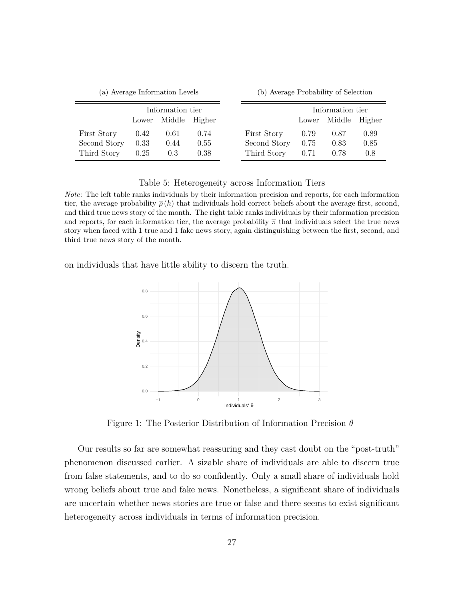<span id="page-27-0"></span>

| (a) Average Information Levels |       |        |        | (b) Average Probability of Selection |       |                  |        |
|--------------------------------|-------|--------|--------|--------------------------------------|-------|------------------|--------|
| Information tier               |       |        |        |                                      |       | Information tier |        |
|                                | Lower | Middle | Higher |                                      | Lower | Middle           | Higher |
| First Story                    | 0.42  | 0.61   | 0.74   | First Story                          | 0.79  | 0.87             | 0.89   |
| Second Story                   | 0.33  | 0.44   | 0.55   | Second Story                         | 0.75  | 0.83             | 0.85   |
| Third Story                    | 0.25  | 0.3    | 0.38   | Third Story                          | 0.71  | 0.78             | 0.8    |

#### Table 5: Heterogeneity across Information Tiers

*Note*: The left table ranks individuals by their information precision and reports, for each information tier, the average probability  $\bar{\rho}(h)$  that individuals hold correct beliefs about the average first, second, and third true news story of the month. The right table ranks individuals by their information precision and reports, for each information tier, the average probability  $\bar{\pi}$  that individuals select the true news story when faced with 1 true and 1 fake news story, again distinguishing between the first, second, and third true news story of the month.

<span id="page-27-1"></span>on individuals that have little ability to discern the truth.



Figure 1: The Posterior Distribution of Information Precision *θ*

Our results so far are somewhat reassuring and they cast doubt on the "post-truth" phenomenon discussed earlier. A sizable share of individuals are able to discern true from false statements, and to do so confidently. Only a small share of individuals hold wrong beliefs about true and fake news. Nonetheless, a significant share of individuals are uncertain whether news stories are true or false and there seems to exist significant heterogeneity across individuals in terms of information precision.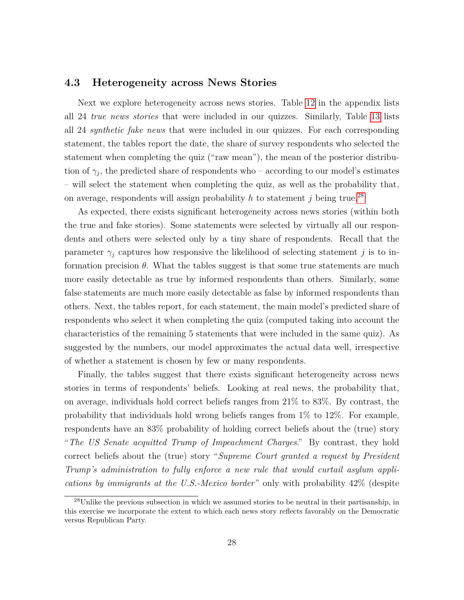### **4.3 Heterogeneity across News Stories**

Next we explore heterogeneity across news stories. Table [12](#page-50-0) in the appendix lists all 24 *true news stories* that were included in our quizzes. Similarly, Table [13](#page-52-0) lists all 24 *synthetic fake news* that were included in our quizzes. For each corresponding statement, the tables report the date, the share of survey respondents who selected the statement when completing the quiz ("raw mean"), the mean of the posterior distribution of  $\gamma_j$ , the predicted share of respondents who – according to our model's estimates – will select the statement when completing the quiz, as well as the probability that, on average, respondents will assign probability  $h$  to statement  $j$  being true.<sup>[28](#page-0-0)</sup>

As expected, there exists significant heterogeneity across news stories (within both the true and fake stories). Some statements were selected by virtually all our respondents and others were selected only by a tiny share of respondents. Recall that the parameter  $\gamma_j$  captures how responsive the likelihood of selecting statement *j* is to information precision  $\theta$ . What the tables suggest is that some true statements are much more easily detectable as true by informed respondents than others. Similarly, some false statements are much more easily detectable as false by informed respondents than others. Next, the tables report, for each statement, the main model's predicted share of respondents who select it when completing the quiz (computed taking into account the characteristics of the remaining 5 statements that were included in the same quiz). As suggested by the numbers, our model approximates the actual data well, irrespective of whether a statement is chosen by few or many respondents.

Finally, the tables suggest that there exists significant heterogeneity across news stories in terms of respondents' beliefs. Looking at real news, the probability that, on average, individuals hold correct beliefs ranges from 21% to 83%. By contrast, the probability that individuals hold wrong beliefs ranges from 1% to 12%. For example, respondents have an 83% probability of holding correct beliefs about the (true) story "*The US Senate acquitted Trump of Impeachment Charges*." By contrast, they hold correct beliefs about the (true) story "*Supreme Court granted a request by President Trump's administration to fully enforce a new rule that would curtail asylum applications by immigrants at the U.S.-Mexico border*" only with probability 42% (despite

 $^{28}$ Unlike the previous subsection in which we assumed stories to be neutral in their partisanship, in this exercise we incorporate the extent to which each news story reflects favorably on the Democratic versus Republican Party.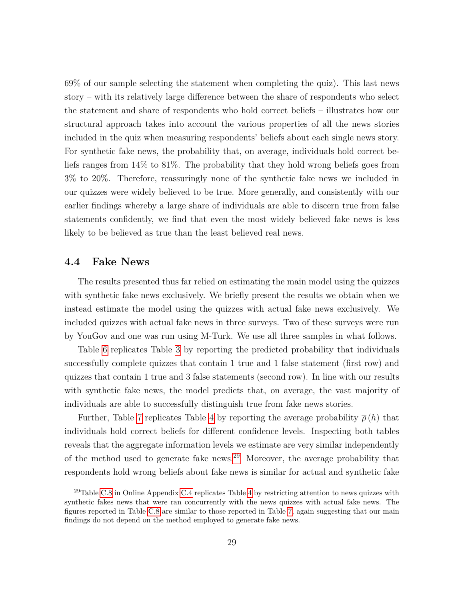69% of our sample selecting the statement when completing the quiz). This last news story – with its relatively large difference between the share of respondents who select the statement and share of respondents who hold correct beliefs – illustrates how our structural approach takes into account the various properties of all the news stories included in the quiz when measuring respondents' beliefs about each single news story. For synthetic fake news, the probability that, on average, individuals hold correct beliefs ranges from 14% to 81%. The probability that they hold wrong beliefs goes from 3% to 20%. Therefore, reassuringly none of the synthetic fake news we included in our quizzes were widely believed to be true. More generally, and consistently with our earlier findings whereby a large share of individuals are able to discern true from false statements confidently, we find that even the most widely believed fake news is less likely to be believed as true than the least believed real news.

### **4.4 Fake News**

The results presented thus far relied on estimating the main model using the quizzes with synthetic fake news exclusively. We briefly present the results we obtain when we instead estimate the model using the quizzes with actual fake news exclusively. We included quizzes with actual fake news in three surveys. Two of these surveys were run by YouGov and one was run using M-Turk. We use all three samples in what follows.

Table [6](#page-30-0) replicates Table [3](#page-24-0) by reporting the predicted probability that individuals successfully complete quizzes that contain 1 true and 1 false statement (first row) and quizzes that contain 1 true and 3 false statements (second row). In line with our results with synthetic fake news, the model predicts that, on average, the vast majority of individuals are able to successfully distinguish true from fake news stories.

Further, Table [7](#page-30-1) replicates Table [4](#page-25-0) by reporting the average probability  $\bar{\rho}(h)$  that individuals hold correct beliefs for different confidence levels. Inspecting both tables reveals that the aggregate information levels we estimate are very similar independently of the method used to generate fake news.[29](#page-0-0) Moreover, the average probability that respondents hold wrong beliefs about fake news is similar for actual and synthetic fake

<sup>&</sup>lt;sup>29</sup>Table [C.8](#page-27-0) in Online Appendix [C.4](#page-0-0) replicates Table [4](#page-25-0) by restricting attention to news quizzes with synthetic fakes news that were ran concurrently with the news quizzes with actual fake news. The figures reported in Table [C.8](#page-27-0) are similar to those reported in Table [7,](#page-30-1) again suggesting that our main findings do not depend on the method employed to generate fake news.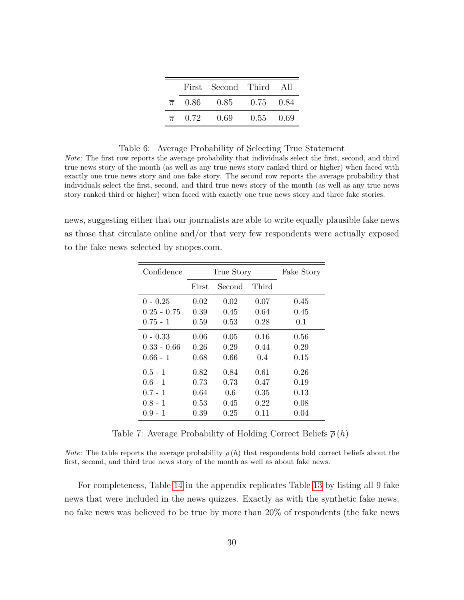|  | First Second Third All          |             |  |
|--|---------------------------------|-------------|--|
|  | $\bar{\pi}$ 0.86 0.85 0.75 0.84 |             |  |
|  | $\bar{\pi}$ 0.72 0.69           | $0.55$ 0.69 |  |

#### Table 6: Average Probability of Selecting True Statement

<span id="page-30-0"></span>*Note*: The first row reports the average probability that individuals select the first, second, and third true news story of the month (as well as any true news story ranked third or higher) when faced with exactly one true news story and one fake story. The second row reports the average probability that individuals select the first, second, and third true news story of the month (as well as any true news story ranked third or higher) when faced with exactly one true news story and three fake stories.

<span id="page-30-1"></span>news, suggesting either that our journalists are able to write equally plausible fake news as those that circulate online and/or that very few respondents were actually exposed to the fake news selected by snopes.com.

| Confidence    |       | True Story | Fake Story |      |
|---------------|-------|------------|------------|------|
|               | First | Second     | Third      |      |
| $0 - 0.25$    | 0.02  | 0.02       | 0.07       | 0.45 |
| $0.25 - 0.75$ | 0.39  | 0.45       | 0.64       | 0.45 |
| $0.75 - 1$    | 0.59  | 0.53       | 0.28       | 0.1  |
| $0 - 0.33$    | 0.06  | 0.05       | 0.16       | 0.56 |
| $0.33 - 0.66$ | 0.26  | 0.29       | 0.44       | 0.29 |
| $0.66 - 1$    | 0.68  | 0.66       | 0.4        | 0.15 |
| $0.5 - 1$     | 0.82  | 0.84       | 0.61       | 0.26 |
| $0.6 - 1$     | 0.73  | 0.73       | 0.47       | 0.19 |
| $0.7 - 1$     | 0.64  | 0.6        | 0.35       | 0.13 |
| $0.8 - 1$     | 0.53  | 0.45       | 0.22       | 0.08 |
| $0.9 - 1$     | 0.39  | 0.25       | 0.11       | 0.04 |

Table 7: Average Probability of Holding Correct Beliefs *ρ* (*h*)

*Note*: The table reports the average probability  $\bar{\rho}(h)$  that respondents hold correct beliefs about the first, second, and third true news story of the month as well as about fake news.

For completeness, Table [14](#page-53-0) in the appendix replicates Table [13](#page-52-0) by listing all 9 fake news that were included in the news quizzes. Exactly as with the synthetic fake news, no fake news was believed to be true by more than 20% of respondents (the fake news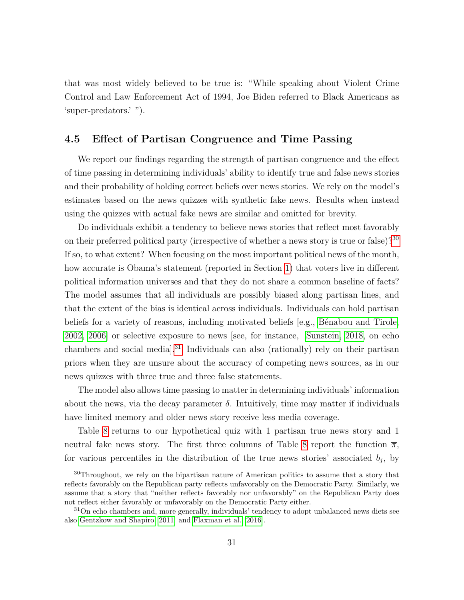that was most widely believed to be true is: "While speaking about Violent Crime Control and Law Enforcement Act of 1994, Joe Biden referred to Black Americans as 'super-predators.' ").

### <span id="page-31-0"></span>**4.5 Effect of Partisan Congruence and Time Passing**

We report our findings regarding the strength of partisan congruence and the effect of time passing in determining individuals' ability to identify true and false news stories and their probability of holding correct beliefs over news stories. We rely on the model's estimates based on the news quizzes with synthetic fake news. Results when instead using the quizzes with actual fake news are similar and omitted for brevity.

Do individuals exhibit a tendency to believe news stories that reflect most favorably on their preferred political party (irrespective of whether a news story is true or false)?<sup>[30](#page-0-0)</sup> If so, to what extent? When focusing on the most important political news of the month, how accurate is Obama's statement (reported in Section [1\)](#page-1-0) that voters live in different political information universes and that they do not share a common baseline of facts? The model assumes that all individuals are possibly biased along partisan lines, and that the extent of the bias is identical across individuals. Individuals can hold partisan beliefs for a variety of reasons, including motivated beliefs  $[e.g., Bénabou and Tirole,$ [2002,](#page-44-11) [2006\]](#page-44-12) or selective exposure to news [see, for instance, [Sunstein, 2018,](#page-48-12) on echo chambers and social media].[31](#page-0-0) Individuals can also (rationally) rely on their partisan priors when they are unsure about the accuracy of competing news sources, as in our news quizzes with three true and three false statements.

The model also allows time passing to matter in determining individuals' information about the news, via the decay parameter  $\delta$ . Intuitively, time may matter if individuals have limited memory and older news story receive less media coverage.

Table [8](#page-32-0) returns to our hypothetical quiz with 1 partisan true news story and 1 neutral fake news story. The first three columns of Table [8](#page-32-0) report the function  $\bar{\pi}$ , for various percentiles in the distribution of the true news stories' associated  $b_j$ , by

<sup>&</sup>lt;sup>30</sup>Throughout, we rely on the bipartisan nature of American politics to assume that a story that reflects favorably on the Republican party reflects unfavorably on the Democratic Party. Similarly, we assume that a story that "neither reflects favorably nor unfavorably" on the Republican Party does not reflect either favorably or unfavorably on the Democratic Party either.

<sup>&</sup>lt;sup>31</sup>On echo chambers and, more generally, individuals' tendency to adopt unbalanced news diets see also [Gentzkow and Shapiro](#page-45-12) [\[2011\]](#page-45-12) and [Flaxman et al.](#page-44-13) [\[2016\]](#page-44-13).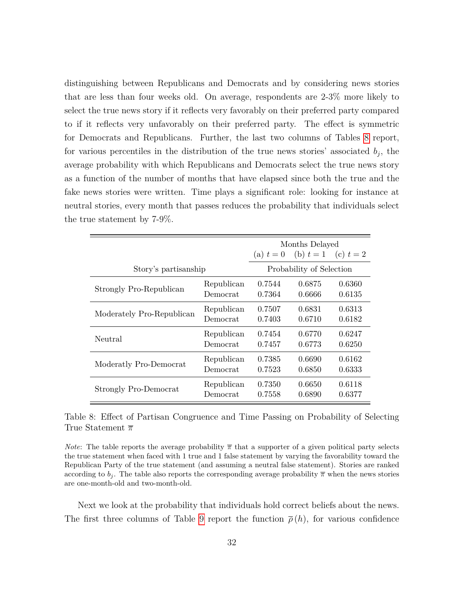distinguishing between Republicans and Democrats and by considering news stories that are less than four weeks old. On average, respondents are 2-3% more likely to select the true news story if it reflects very favorably on their preferred party compared to if it reflects very unfavorably on their preferred party. The effect is symmetric for Democrats and Republicans. Further, the last two columns of Tables [8](#page-32-0) report, for various percentiles in the distribution of the true news stories' associated  $b_j$ , the average probability with which Republicans and Democrats select the true news story as a function of the number of months that have elapsed since both the true and the fake news stories were written. Time plays a significant role: looking for instance at neutral stories, every month that passes reduces the probability that individuals select the true statement by 7-9%.

<span id="page-32-0"></span>

|                           |            | Months Delayed |                                     |        |  |
|---------------------------|------------|----------------|-------------------------------------|--------|--|
|                           |            |                | (a) $t = 0$ (b) $t = 1$ (c) $t = 2$ |        |  |
| Story's partisanship      |            |                | Probability of Selection            |        |  |
| Strongly Pro-Republican   | Republican | 0.7544         | 0.6875                              | 0.6360 |  |
|                           | Democrat   | 0.7364         | 0.6666                              | 0.6135 |  |
| Moderately Pro-Republican | Republican | 0.7507         | 0.6831                              | 0.6313 |  |
|                           | Democrat   | 0.7403         | 0.6710                              | 0.6182 |  |
| Neutral                   | Republican | 0.7454         | 0.6770                              | 0.6247 |  |
|                           | Democrat   | 0.7457         | 0.6773                              | 0.6250 |  |
| Moderatly Pro-Democrat    | Republican | 0.7385         | 0.6690                              | 0.6162 |  |
|                           | Democrat   | 0.7523         | 0.6850                              | 0.6333 |  |
| Strongly Pro-Democrat     | Republican | 0.7350         | 0.6650                              | 0.6118 |  |
|                           | Democrat   | 0.7558         | 0.6890                              | 0.6377 |  |

Table 8: Effect of Partisan Congruence and Time Passing on Probability of Selecting True Statement *π*

*Note*: The table reports the average probability  $\bar{\pi}$  that a supporter of a given political party selects the true statement when faced with 1 true and 1 false statement by varying the favorability toward the Republican Party of the true statement (and assuming a neutral false statement). Stories are ranked according to  $b_j$ . The table also reports the corresponding average probability  $\bar{\pi}$  when the news stories are one-month-old and two-month-old.

Next we look at the probability that individuals hold correct beliefs about the news. The first three columns of Table [9](#page-34-0) report the function  $\bar{\rho}(h)$ , for various confidence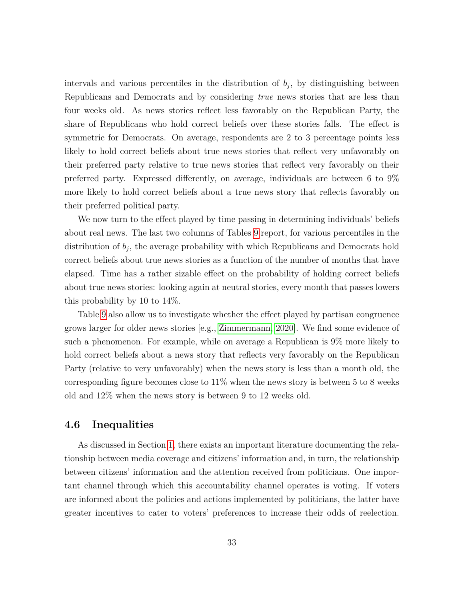intervals and various percentiles in the distribution of  $b_j$ , by distinguishing between Republicans and Democrats and by considering *true* news stories that are less than four weeks old. As news stories reflect less favorably on the Republican Party, the share of Republicans who hold correct beliefs over these stories falls. The effect is symmetric for Democrats. On average, respondents are 2 to 3 percentage points less likely to hold correct beliefs about true news stories that reflect very unfavorably on their preferred party relative to true news stories that reflect very favorably on their preferred party. Expressed differently, on average, individuals are between 6 to 9% more likely to hold correct beliefs about a true news story that reflects favorably on their preferred political party.

We now turn to the effect played by time passing in determining individuals' beliefs about real news. The last two columns of Tables [9](#page-34-0) report, for various percentiles in the distribution of  $b_j$ , the average probability with which Republicans and Democrats hold correct beliefs about true news stories as a function of the number of months that have elapsed. Time has a rather sizable effect on the probability of holding correct beliefs about true news stories: looking again at neutral stories, every month that passes lowers this probability by 10 to 14%.

Table [9](#page-34-0) also allow us to investigate whether the effect played by partisan congruence grows larger for older news stories [e.g., [Zimmermann, 2020\]](#page-48-13). We find some evidence of such a phenomenon. For example, while on average a Republican is 9% more likely to hold correct beliefs about a news story that reflects very favorably on the Republican Party (relative to very unfavorably) when the news story is less than a month old, the corresponding figure becomes close to 11% when the news story is between 5 to 8 weeks old and 12% when the news story is between 9 to 12 weeks old.

### **4.6 Inequalities**

As discussed in Section [1,](#page-1-0) there exists an important literature documenting the relationship between media coverage and citizens' information and, in turn, the relationship between citizens' information and the attention received from politicians. One important channel through which this accountability channel operates is voting. If voters are informed about the policies and actions implemented by politicians, the latter have greater incentives to cater to voters' preferences to increase their odds of reelection.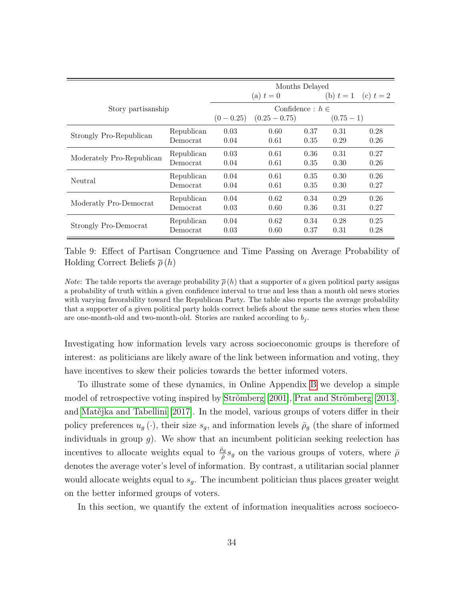<span id="page-34-0"></span>

|                           |            | Months Delayed |                      |      |                         |      |
|---------------------------|------------|----------------|----------------------|------|-------------------------|------|
|                           |            |                | (a) $t=0$            |      | (b) $t = 1$ (c) $t = 2$ |      |
| Story partisanship        |            |                | Confidence : $h \in$ |      |                         |      |
|                           |            | $(0 - 0.25)$   | $(0.25-0.75)$        |      | $(0.75-1)$              |      |
| Strongly Pro-Republican   | Republican | 0.03           | 0.60                 | 0.37 | 0.31                    | 0.28 |
|                           | Democrat   | 0.04           | 0.61                 | 0.35 | 0.29                    | 0.26 |
|                           | Republican | 0.03           | 0.61                 | 0.36 | 0.31                    | 0.27 |
| Moderately Pro-Republican | Democrat   | 0.04           | 0.61                 | 0.35 | 0.30                    | 0.26 |
| Neutral                   | Republican | 0.04           | 0.61                 | 0.35 | 0.30                    | 0.26 |
|                           | Democrat   | 0.04           | 0.61                 | 0.35 | 0.30                    | 0.27 |
|                           | Republican | 0.04           | 0.62                 | 0.34 | 0.29                    | 0.26 |
| Moderatly Pro-Democrat    | Democrat   | 0.03           | 0.60                 | 0.36 | 0.31                    | 0.27 |
|                           | Republican | 0.04           | 0.62                 | 0.34 | 0.28                    | 0.25 |
| Strongly Pro-Democrat     | Democrat   | 0.03           | 0.60                 | 0.37 | 0.31                    | 0.28 |

Table 9: Effect of Partisan Congruence and Time Passing on Average Probability of Holding Correct Beliefs *ρ* (*h*)

*Note*: The table reports the average probability  $\bar{\rho}(h)$  that a supporter of a given political party assigns a probability of truth within a given confidence interval to true and less than a month old news stories with varying favorability toward the Republican Party. The table also reports the average probability that a supporter of a given political party holds correct beliefs about the same news stories when these are one-month-old and two-month-old. Stories are ranked according to  $b_j$ .

Investigating how information levels vary across socioeconomic groups is therefore of interest: as politicians are likely aware of the link between information and voting, they have incentives to skew their policies towards the better informed voters.

To illustrate some of these dynamics, in Online Appendix [B](#page-0-0) we develop a simple model of retrospective voting inspired by Strömberg  $[2001]$ , Prat and Strömberg  $[2013]$ , and Matějka and Tabellini [\[2017\]](#page-46-10). In the model, various groups of voters differ in their policy preferences  $u_g(\cdot)$ , their size  $s_g$ , and information levels  $\bar{\rho}_g$  (the share of informed individuals in group  $g$ ). We show that an incumbent politician seeking reelection has incentives to allocate weights equal to  $\frac{\bar{\rho}_g}{\bar{\rho}} s_g$  on the various groups of voters, where  $\bar{\rho}$ denotes the average voter's level of information. By contrast, a utilitarian social planner would allocate weights equal to *sg*. The incumbent politician thus places greater weight on the better informed groups of voters.

In this section, we quantify the extent of information inequalities across socioeco-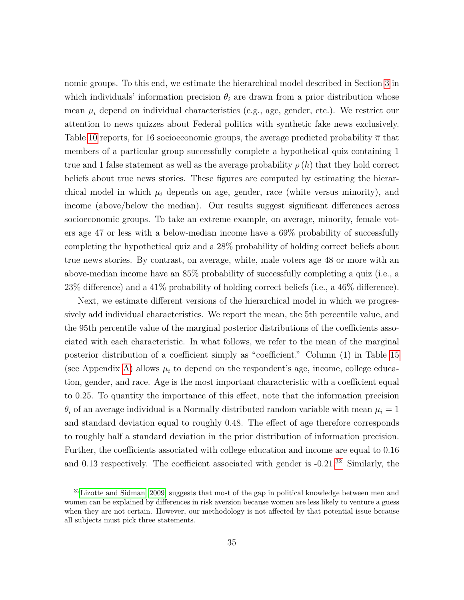nomic groups. To this end, we estimate the hierarchical model described in Section [3](#page-16-0) in which individuals' information precision  $\theta_i$  are drawn from a prior distribution whose mean  $\mu_i$  depend on individual characteristics (e.g., age, gender, etc.). We restrict our attention to news quizzes about Federal politics with synthetic fake news exclusively. Table [10](#page-36-0) reports, for 16 socioeconomic groups, the average predicted probability *π* that members of a particular group successfully complete a hypothetical quiz containing 1 true and 1 false statement as well as the average probability  $\bar{\rho}(h)$  that they hold correct beliefs about true news stories. These figures are computed by estimating the hierarchical model in which  $\mu_i$  depends on age, gender, race (white versus minority), and income (above/below the median). Our results suggest significant differences across socioeconomic groups. To take an extreme example, on average, minority, female voters age 47 or less with a below-median income have a 69% probability of successfully completing the hypothetical quiz and a 28% probability of holding correct beliefs about true news stories. By contrast, on average, white, male voters age 48 or more with an above-median income have an 85% probability of successfully completing a quiz (i.e., a 23% difference) and a 41% probability of holding correct beliefs (i.e., a 46% difference).

Next, we estimate different versions of the hierarchical model in which we progressively add individual characteristics. We report the mean, the 5th percentile value, and the 95th percentile value of the marginal posterior distributions of the coefficients associated with each characteristic. In what follows, we refer to the mean of the marginal posterior distribution of a coefficient simply as "coefficient." Column (1) in Table [15](#page-54-0) (see Appendix [A\)](#page-49-0) allows  $\mu_i$  to depend on the respondent's age, income, college education, gender, and race. Age is the most important characteristic with a coefficient equal to 0*.*25. To quantity the importance of this effect, note that the information precision  $\theta_i$  of an average individual is a Normally distributed random variable with mean  $\mu_i = 1$ and standard deviation equal to roughly 0.48. The effect of age therefore corresponds to roughly half a standard deviation in the prior distribution of information precision. Further, the coefficients associated with college education and income are equal to 0.16 and 0.13 respectively. The coefficient associated with gender is  $-0.21$ .<sup>[32](#page-0-0)</sup> Similarly, the

<sup>&</sup>lt;sup>32</sup>[Lizotte and Sidman](#page-46-11) [\[2009\]](#page-46-11) suggests that most of the gap in political knowledge between men and women can be explained by differences in risk aversion because women are less likely to venture a guess when they are not certain. However, our methodology is not affected by that potential issue because all subjects must pick three statements.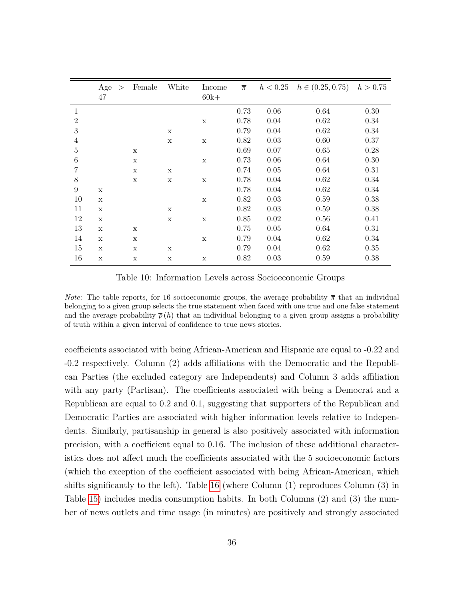<span id="page-36-0"></span>

|                  | Age<br>47   | $\geq$ | Female | White       | Income<br>$60k+$ | $\overline{\pi}$ |      | $h < 0.25$ $h \in (0.25, 0.75)$ $h > 0.75$ |      |
|------------------|-------------|--------|--------|-------------|------------------|------------------|------|--------------------------------------------|------|
| 1                |             |        |        |             |                  | 0.73             | 0.06 | 0.64                                       | 0.30 |
| $\overline{2}$   |             |        |        |             | $\mathbf X$      | 0.78             | 0.04 | 0.62                                       | 0.34 |
| 3                |             |        |        | $\mathbf x$ |                  | 0.79             | 0.04 | 0.62                                       | 0.34 |
| 4                |             |        |        | $\mathbf x$ | $\mathbf x$      | 0.82             | 0.03 | 0.60                                       | 0.37 |
| $\overline{5}$   |             |        | X      |             |                  | 0.69             | 0.07 | 0.65                                       | 0.28 |
| 6                |             |        | X      |             | $\mathbf X$      | 0.73             | 0.06 | 0.64                                       | 0.30 |
| 7                |             |        | X      | $\mathbf x$ |                  | 0.74             | 0.05 | 0.64                                       | 0.31 |
| 8                |             |        | X      | $\mathbf x$ | $\mathbf X$      | 0.78             | 0.04 | 0.62                                       | 0.34 |
| $\boldsymbol{9}$ | X           |        |        |             |                  | 0.78             | 0.04 | 0.62                                       | 0.34 |
| 10               | X           |        |        |             | $\mathbf X$      | 0.82             | 0.03 | 0.59                                       | 0.38 |
| 11               | $\mathbf x$ |        |        | X           |                  | 0.82             | 0.03 | 0.59                                       | 0.38 |
| 12               | X           |        |        | $\mathbf x$ | $\mathbf x$      | 0.85             | 0.02 | 0.56                                       | 0.41 |
| 13               | $\mathbf X$ |        | X      |             |                  | 0.75             | 0.05 | 0.64                                       | 0.31 |
| 14               | X           |        | X      |             | $\mathbf X$      | 0.79             | 0.04 | 0.62                                       | 0.34 |
| 15               | X           |        | X      | X           |                  | 0.79             | 0.04 | 0.62                                       | 0.35 |
| 16               | X           |        | X      | X           | X                | 0.82             | 0.03 | 0.59                                       | 0.38 |

Table 10: Information Levels across Socioeconomic Groups

*Note*: The table reports, for 16 socioeconomic groups, the average probability  $\bar{\pi}$  that an individual belonging to a given group selects the true statement when faced with one true and one false statement and the average probability  $\bar{\rho}(h)$  that an individual belonging to a given group assigns a probability of truth within a given interval of confidence to true news stories.

coefficients associated with being African-American and Hispanic are equal to -0.22 and -0.2 respectively. Column (2) adds affiliations with the Democratic and the Republican Parties (the excluded category are Independents) and Column 3 adds affiliation with any party (Partisan). The coefficients associated with being a Democrat and a Republican are equal to 0.2 and 0.1, suggesting that supporters of the Republican and Democratic Parties are associated with higher information levels relative to Independents. Similarly, partisanship in general is also positively associated with information precision, with a coefficient equal to 0.16. The inclusion of these additional characteristics does not affect much the coefficients associated with the 5 socioeconomic factors (which the exception of the coefficient associated with being African-American, which shifts significantly to the left). Table [16](#page-55-0) (where Column (1) reproduces Column (3) in Table [15\)](#page-54-0) includes media consumption habits. In both Columns (2) and (3) the number of news outlets and time usage (in minutes) are positively and strongly associated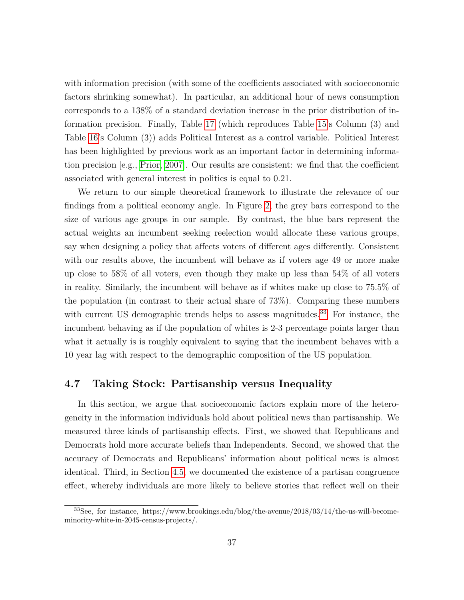with information precision (with some of the coefficients associated with socioeconomic factors shrinking somewhat). In particular, an additional hour of news consumption corresponds to a 138% of a standard deviation increase in the prior distribution of information precision. Finally, Table [17](#page-56-0) (which reproduces Table [15'](#page-54-0)s Column (3) and Table [16'](#page-55-0)s Column (3)) adds Political Interest as a control variable. Political Interest has been highlighted by previous work as an important factor in determining information precision [e.g., [Prior, 2007\]](#page-47-11). Our results are consistent: we find that the coefficient associated with general interest in politics is equal to 0.21.

We return to our simple theoretical framework to illustrate the relevance of our findings from a political economy angle. In Figure [2,](#page-38-0) the grey bars correspond to the size of various age groups in our sample. By contrast, the blue bars represent the actual weights an incumbent seeking reelection would allocate these various groups, say when designing a policy that affects voters of different ages differently. Consistent with our results above, the incumbent will behave as if voters age 49 or more make up close to 58% of all voters, even though they make up less than 54% of all voters in reality. Similarly, the incumbent will behave as if whites make up close to 75.5% of the population (in contrast to their actual share of 73%). Comparing these numbers with current US demographic trends helps to assess magnitudes.<sup>[33](#page-0-0)</sup> For instance, the incumbent behaving as if the population of whites is 2-3 percentage points larger than what it actually is is roughly equivalent to saying that the incumbent behaves with a 10 year lag with respect to the demographic composition of the US population.

### **4.7 Taking Stock: Partisanship versus Inequality**

In this section, we argue that socioeconomic factors explain more of the heterogeneity in the information individuals hold about political news than partisanship. We measured three kinds of partisanship effects. First, we showed that Republicans and Democrats hold more accurate beliefs than Independents. Second, we showed that the accuracy of Democrats and Republicans' information about political news is almost identical. Third, in Section [4.5,](#page-31-0) we documented the existence of a partisan congruence effect, whereby individuals are more likely to believe stories that reflect well on their

<sup>33</sup>See, for instance, https://www.brookings.edu/blog/the-avenue/2018/03/14/the-us-will-becomeminority-white-in-2045-census-projects/.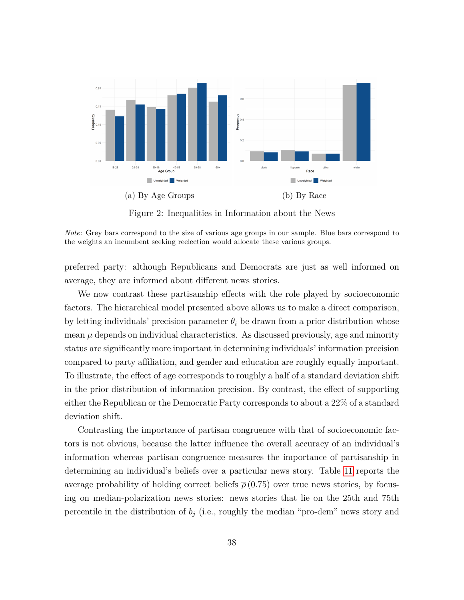<span id="page-38-0"></span>

Figure 2: Inequalities in Information about the News

preferred party: although Republicans and Democrats are just as well informed on average, they are informed about different news stories.

We now contrast these partisanship effects with the role played by socioeconomic factors. The hierarchical model presented above allows us to make a direct comparison, by letting individuals' precision parameter  $\theta_i$  be drawn from a prior distribution whose mean  $\mu$  depends on individual characteristics. As discussed previously, age and minority status are significantly more important in determining individuals' information precision compared to party affiliation, and gender and education are roughly equally important. To illustrate, the effect of age corresponds to roughly a half of a standard deviation shift in the prior distribution of information precision. By contrast, the effect of supporting either the Republican or the Democratic Party corresponds to about a 22% of a standard deviation shift.

Contrasting the importance of partisan congruence with that of socioeconomic factors is not obvious, because the latter influence the overall accuracy of an individual's information whereas partisan congruence measures the importance of partisanship in determining an individual's beliefs over a particular news story. Table [11](#page-39-1) reports the average probability of holding correct beliefs  $\bar{\rho}$  (0.75) over true news stories, by focusing on median-polarization news stories: news stories that lie on the 25th and 75th percentile in the distribution of  $b_j$  (i.e., roughly the median "pro-dem" news story and

*Note*: Grey bars correspond to the size of various age groups in our sample. Blue bars correspond to the weights an incumbent seeking reelection would allocate these various groups.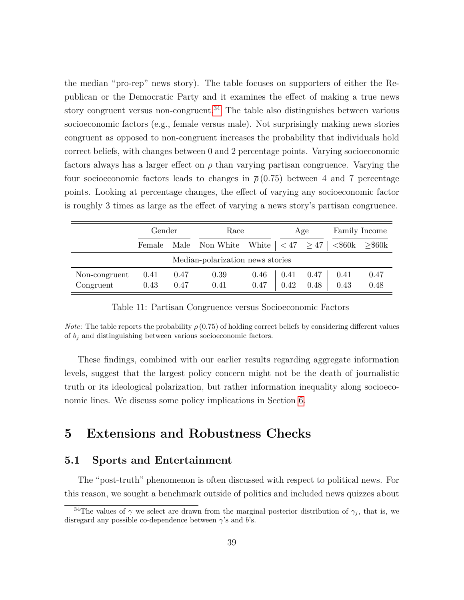the median "pro-rep" news story). The table focuses on supporters of either the Republican or the Democratic Party and it examines the effect of making a true news story congruent versus non-congruent.<sup>[34](#page-0-0)</sup> The table also distinguishes between various socioeconomic factors (e.g., female versus male). Not surprisingly making news stories congruent as opposed to non-congruent increases the probability that individuals hold correct beliefs, with changes between 0 and 2 percentage points. Varying socioeconomic factors always has a larger effect on  $\bar{\rho}$  than varying partisan congruence. Varying the four socioeconomic factors leads to changes in  $\bar{\rho}(0.75)$  between 4 and 7 percentage points. Looking at percentage changes, the effect of varying any socioeconomic factor is roughly 3 times as large as the effect of varying a news story's partisan congruence.

<span id="page-39-1"></span>

|                            | Gender       |              | Race                                                                          |              |              | Age          |              | Family Income |
|----------------------------|--------------|--------------|-------------------------------------------------------------------------------|--------------|--------------|--------------|--------------|---------------|
|                            | Female       |              | Male   Non White   $\langle 47 \rangle$ 247   $\langle$ \$60k $\rangle$ \$60k |              |              |              |              |               |
|                            |              |              | Median-polarization news stories                                              |              |              |              |              |               |
| Non-congruent<br>Congruent | 0.41<br>0.43 | 0.47<br>0.47 | 0.39<br>0.41                                                                  | 0.46<br>0.47 | 0.41<br>0.42 | 0.47<br>0.48 | 0.41<br>0.43 | 0.47<br>0.48  |

Table 11: Partisan Congruence versus Socioeconomic Factors

*Note*: The table reports the probability  $\bar{\rho}$  (0.75) of holding correct beliefs by considering different values of  $b_i$  and distinguishing between various socioeconomic factors.

These findings, combined with our earlier results regarding aggregate information levels, suggest that the largest policy concern might not be the death of journalistic truth or its ideological polarization, but rather information inequality along socioeconomic lines. We discuss some policy implications in Section [6.](#page-42-0)

# <span id="page-39-0"></span>**5 Extensions and Robustness Checks**

#### **5.1 Sports and Entertainment**

The "post-truth" phenomenon is often discussed with respect to political news. For this reason, we sought a benchmark outside of politics and included news quizzes about

<sup>&</sup>lt;sup>34</sup>The values of  $\gamma$  we select are drawn from the marginal posterior distribution of  $\gamma_j$ , that is, we disregard any possible co-dependence between *γ*'s and *b*'s.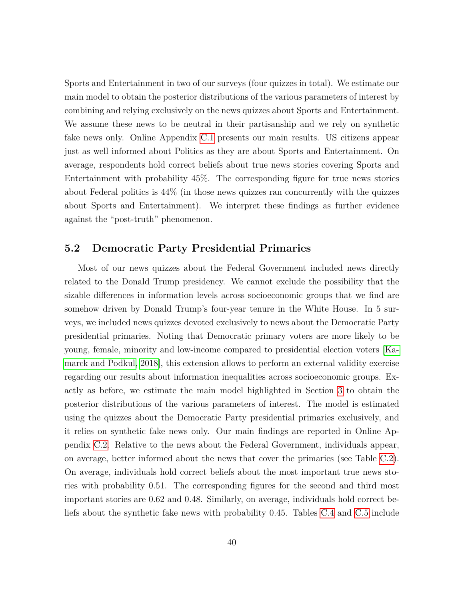Sports and Entertainment in two of our surveys (four quizzes in total). We estimate our main model to obtain the posterior distributions of the various parameters of interest by combining and relying exclusively on the news quizzes about Sports and Entertainment. We assume these news to be neutral in their partisanship and we rely on synthetic fake news only. Online Appendix [C.1](#page-0-0) presents our main results. US citizens appear just as well informed about Politics as they are about Sports and Entertainment. On average, respondents hold correct beliefs about true news stories covering Sports and Entertainment with probability 45%. The corresponding figure for true news stories about Federal politics is 44% (in those news quizzes ran concurrently with the quizzes about Sports and Entertainment). We interpret these findings as further evidence against the "post-truth" phenomenon.

#### **5.2 Democratic Party Presidential Primaries**

Most of our news quizzes about the Federal Government included news directly related to the Donald Trump presidency. We cannot exclude the possibility that the sizable differences in information levels across socioeconomic groups that we find are somehow driven by Donald Trump's four-year tenure in the White House. In 5 surveys, we included news quizzes devoted exclusively to news about the Democratic Party presidential primaries. Noting that Democratic primary voters are more likely to be young, female, minority and low-income compared to presidential election voters [\[Ka](#page-45-9)[marck and Podkul, 2018\]](#page-45-9), this extension allows to perform an external validity exercise regarding our results about information inequalities across socioeconomic groups. Exactly as before, we estimate the main model highlighted in Section [3](#page-16-0) to obtain the posterior distributions of the various parameters of interest. The model is estimated using the quizzes about the Democratic Party presidential primaries exclusively, and it relies on synthetic fake news only. Our main findings are reported in Online Appendix [C.2.](#page-0-0) Relative to the news about the Federal Government, individuals appear, on average, better informed about the news that cover the primaries (see Table [C.2\)](#page-0-0). On average, individuals hold correct beliefs about the most important true news stories with probability 0.51. The corresponding figures for the second and third most important stories are 0.62 and 0.48. Similarly, on average, individuals hold correct beliefs about the synthetic fake news with probability 0.45. Tables [C.4](#page-0-0) and [C.5](#page-0-0) include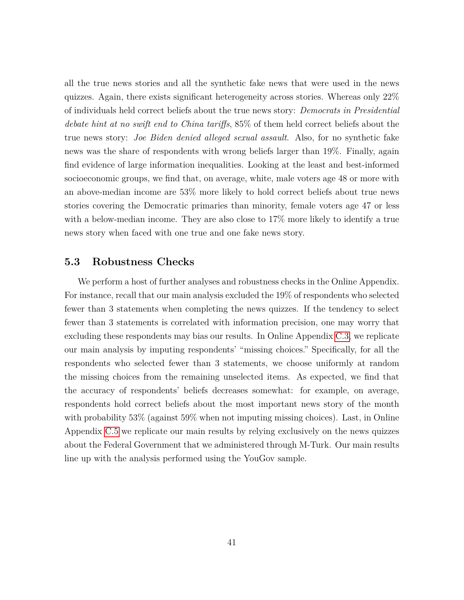all the true news stories and all the synthetic fake news that were used in the news quizzes. Again, there exists significant heterogeneity across stories. Whereas only 22% of individuals held correct beliefs about the true news story: *Democrats in Presidential debate hint at no swift end to China tariffs*, 85% of them held correct beliefs about the true news story: *Joe Biden denied alleged sexual assault*. Also, for no synthetic fake news was the share of respondents with wrong beliefs larger than 19%. Finally, again find evidence of large information inequalities. Looking at the least and best-informed socioeconomic groups, we find that, on average, white, male voters age 48 or more with an above-median income are 53% more likely to hold correct beliefs about true news stories covering the Democratic primaries than minority, female voters age 47 or less with a below-median income. They are also close to 17% more likely to identify a true news story when faced with one true and one fake news story.

### **5.3 Robustness Checks**

We perform a host of further analyses and robustness checks in the Online Appendix. For instance, recall that our main analysis excluded the 19% of respondents who selected fewer than 3 statements when completing the news quizzes. If the tendency to select fewer than 3 statements is correlated with information precision, one may worry that excluding these respondents may bias our results. In Online Appendix [C.3,](#page-0-0) we replicate our main analysis by imputing respondents' "missing choices." Specifically, for all the respondents who selected fewer than 3 statements, we choose uniformly at random the missing choices from the remaining unselected items. As expected, we find that the accuracy of respondents' beliefs decreases somewhat: for example, on average, respondents hold correct beliefs about the most important news story of the month with probability 53% (against 59% when not imputing missing choices). Last, in Online Appendix [C.5](#page-0-0) we replicate our main results by relying exclusively on the news quizzes about the Federal Government that we administered through M-Turk. Our main results line up with the analysis performed using the YouGov sample.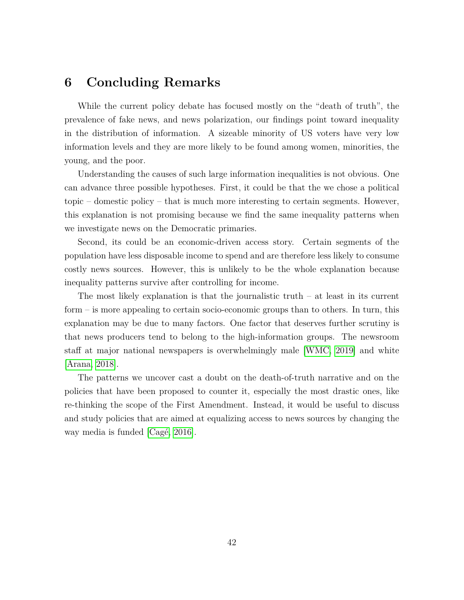## <span id="page-42-0"></span>**6 Concluding Remarks**

While the current policy debate has focused mostly on the "death of truth", the prevalence of fake news, and news polarization, our findings point toward inequality in the distribution of information. A sizeable minority of US voters have very low information levels and they are more likely to be found among women, minorities, the young, and the poor.

Understanding the causes of such large information inequalities is not obvious. One can advance three possible hypotheses. First, it could be that the we chose a political topic – domestic policy – that is much more interesting to certain segments. However, this explanation is not promising because we find the same inequality patterns when we investigate news on the Democratic primaries.

Second, its could be an economic-driven access story. Certain segments of the population have less disposable income to spend and are therefore less likely to consume costly news sources. However, this is unlikely to be the whole explanation because inequality patterns survive after controlling for income.

The most likely explanation is that the journalistic truth  $-$  at least in its current form – is more appealing to certain socio-economic groups than to others. In turn, this explanation may be due to many factors. One factor that deserves further scrutiny is that news producers tend to belong to the high-information groups. The newsroom staff at major national newspapers is overwhelmingly male [\[WMC, 2019\]](#page-48-15) and white [\[Arana, 2018\]](#page-43-12).

The patterns we uncover cast a doubt on the death-of-truth narrative and on the policies that have been proposed to counter it, especially the most drastic ones, like re-thinking the scope of the First Amendment. Instead, it would be useful to discuss and study policies that are aimed at equalizing access to news sources by changing the way media is funded  $[Cag\acute{e}, 2016]$ .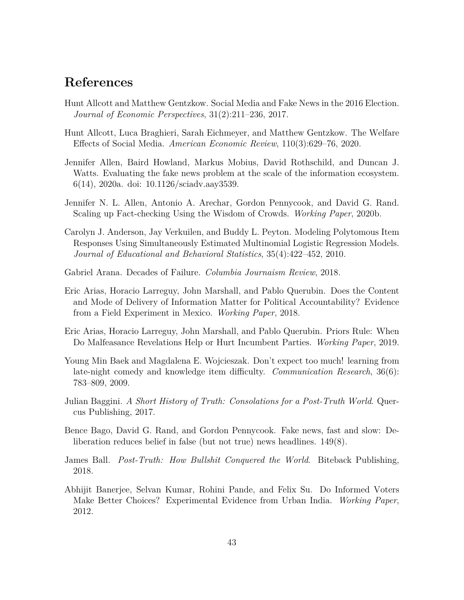# **References**

- <span id="page-43-5"></span>Hunt Allcott and Matthew Gentzkow. Social Media and Fake News in the 2016 Election. *Journal of Economic Perspectives*, 31(2):211–236, 2017.
- <span id="page-43-8"></span>Hunt Allcott, Luca Braghieri, Sarah Eichmeyer, and Matthew Gentzkow. The Welfare Effects of Social Media. *American Economic Review*, 110(3):629–76, 2020.
- <span id="page-43-6"></span>Jennifer Allen, Baird Howland, Markus Mobius, David Rothschild, and Duncan J. Watts. Evaluating the fake news problem at the scale of the information ecosystem. 6(14), 2020a. doi: 10.1126/sciadv.aay3539.
- <span id="page-43-7"></span>Jennifer N. L. Allen, Antonio A. Arechar, Gordon Pennycook, and David G. Rand. Scaling up Fact-checking Using the Wisdom of Crowds. *Working Paper*, 2020b.
- <span id="page-43-11"></span>Carolyn J. Anderson, Jay Verkuilen, and Buddy L. Peyton. Modeling Polytomous Item Responses Using Simultaneously Estimated Multinomial Logistic Regression Models. *Journal of Educational and Behavioral Statistics*, 35(4):422–452, 2010.
- <span id="page-43-12"></span>Gabriel Arana. Decades of Failure. *Columbia Journaism Review*, 2018.
- <span id="page-43-1"></span>Eric Arias, Horacio Larreguy, John Marshall, and Pablo Querubin. Does the Content and Mode of Delivery of Information Matter for Political Accountability? Evidence from a Field Experiment in Mexico. *Working Paper*, 2018.
- <span id="page-43-2"></span>Eric Arias, Horacio Larreguy, John Marshall, and Pablo Querubin. Priors Rule: When Do Malfeasance Revelations Help or Hurt Incumbent Parties. *Working Paper*, 2019.
- <span id="page-43-10"></span>Young Min Baek and Magdalena E. Wojcieszak. Don't expect too much! learning from late-night comedy and knowledge item difficulty. *Communication Research*, 36(6): 783–809, 2009.
- <span id="page-43-4"></span>Julian Baggini. *A Short History of Truth: Consolations for a Post-Truth World*. Quercus Publishing, 2017.
- <span id="page-43-9"></span>Bence Bago, David G. Rand, and Gordon Pennycook. Fake news, fast and slow: Deliberation reduces belief in false (but not true) news headlines. 149(8).
- <span id="page-43-3"></span>James Ball. *Post-Truth: How Bullshit Conquered the World*. Biteback Publishing, 2018.
- <span id="page-43-0"></span>Abhijit Banerjee, Selvan Kumar, Rohini Pande, and Felix Su. Do Informed Voters Make Better Choices? Experimental Evidence from Urban India. *Working Paper*, 2012.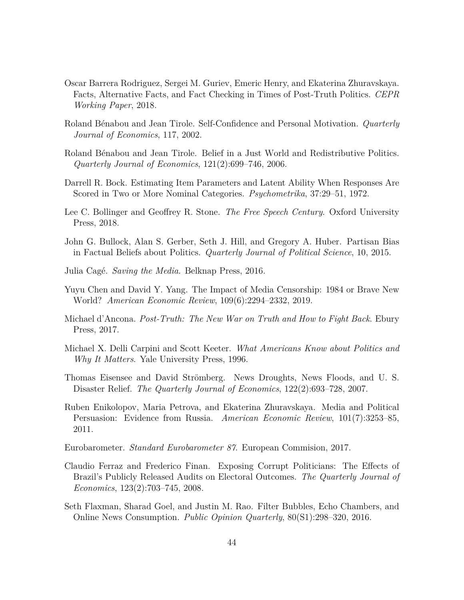- <span id="page-44-6"></span>Oscar Barrera Rodriguez, Sergei M. Guriev, Emeric Henry, and Ekaterina Zhuravskaya. Facts, Alternative Facts, and Fact Checking in Times of Post-Truth Politics. *CEPR Working Paper*, 2018.
- <span id="page-44-11"></span>Roland B´enabou and Jean Tirole. Self-Confidence and Personal Motivation. *Quarterly Journal of Economics*, 117, 2002.
- <span id="page-44-12"></span>Roland Bénabou and Jean Tirole. Belief in a Just World and Redistributive Politics. *Quarterly Journal of Economics*, 121(2):699–746, 2006.
- <span id="page-44-8"></span>Darrell R. Bock. Estimating Item Parameters and Latent Ability When Responses Are Scored in Two or More Nominal Categories. *Psychometrika*, 37:29–51, 1972.
- <span id="page-44-5"></span>Lee C. Bollinger and Geoffrey R. Stone. *The Free Speech Century*. Oxford University Press, 2018.
- <span id="page-44-7"></span>John G. Bullock, Alan S. Gerber, Seth J. Hill, and Gregory A. Huber. Partisan Bias in Factual Beliefs about Politics. *Quarterly Journal of Political Science*, 10, 2015.
- <span id="page-44-14"></span>Julia Cag´e. *Saving the Media*. Belknap Press, 2016.
- <span id="page-44-3"></span>Yuyu Chen and David Y. Yang. The Impact of Media Censorship: 1984 or Brave New World? *American Economic Review*, 109(6):2294–2332, 2019.
- <span id="page-44-4"></span>Michael d'Ancona. *Post-Truth: The New War on Truth and How to Fight Back*. Ebury Press, 2017.
- <span id="page-44-9"></span>Michael X. Delli Carpini and Scott Keeter. *What Americans Know about Politics and Why It Matters*. Yale University Press, 1996.
- <span id="page-44-0"></span>Thomas Eisensee and David Strömberg. News Droughts, News Floods, and U.S. Disaster Relief. *The Quarterly Journal of Economics*, 122(2):693–728, 2007.
- <span id="page-44-2"></span>Ruben Enikolopov, Maria Petrova, and Ekaterina Zhuravskaya. Media and Political Persuasion: Evidence from Russia. *American Economic Review*, 101(7):3253–85, 2011.
- <span id="page-44-10"></span>Eurobarometer. *Standard Eurobarometer 87*. European Commision, 2017.
- <span id="page-44-1"></span>Claudio Ferraz and Frederico Finan. Exposing Corrupt Politicians: The Effects of Brazil's Publicly Released Audits on Electoral Outcomes. *The Quarterly Journal of Economics*, 123(2):703–745, 2008.
- <span id="page-44-13"></span>Seth Flaxman, Sharad Goel, and Justin M. Rao. Filter Bubbles, Echo Chambers, and Online News Consumption. *Public Opinion Quarterly*, 80(S1):298–320, 2016.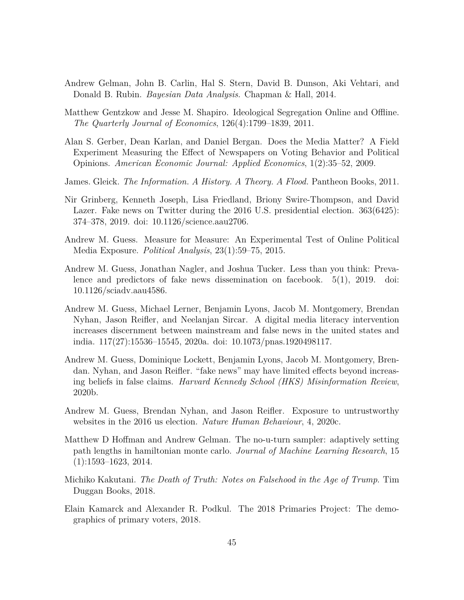- <span id="page-45-10"></span>Andrew Gelman, John B. Carlin, Hal S. Stern, David B. Dunson, Aki Vehtari, and Donald B. Rubin. *Bayesian Data Analysis*. Chapman & Hall, 2014.
- <span id="page-45-12"></span>Matthew Gentzkow and Jesse M. Shapiro. Ideological Segregation Online and Offline. *The Quarterly Journal of Economics*, 126(4):1799–1839, 2011.
- <span id="page-45-0"></span>Alan S. Gerber, Dean Karlan, and Daniel Bergan. Does the Media Matter? A Field Experiment Measuring the Effect of Newspapers on Voting Behavior and Political Opinions. *American Economic Journal: Applied Economics*, 1(2):35–52, 2009.
- <span id="page-45-1"></span>James. Gleick. *The Information. A History. A Theory. A Flood.* Pantheon Books, 2011.
- <span id="page-45-4"></span>Nir Grinberg, Kenneth Joseph, Lisa Friedland, Briony Swire-Thompson, and David Lazer. Fake news on Twitter during the 2016 U.S. presidential election. 363(6425): 374–378, 2019. doi: 10.1126/science.aau2706.
- <span id="page-45-8"></span>Andrew M. Guess. Measure for Measure: An Experimental Test of Online Political Media Exposure. *Political Analysis*, 23(1):59–75, 2015.
- <span id="page-45-5"></span>Andrew M. Guess, Jonathan Nagler, and Joshua Tucker. Less than you think: Prevalence and predictors of fake news dissemination on facebook. 5(1), 2019. doi: 10.1126/sciadv.aau4586.
- <span id="page-45-3"></span>Andrew M. Guess, Michael Lerner, Benjamin Lyons, Jacob M. Montgomery, Brendan Nyhan, Jason Reifler, and Neelanjan Sircar. A digital media literacy intervention increases discernment between mainstream and false news in the united states and india. 117(27):15536–15545, 2020a. doi: 10.1073/pnas.1920498117.
- <span id="page-45-6"></span>Andrew M. Guess, Dominique Lockett, Benjamin Lyons, Jacob M. Montgomery, Brendan. Nyhan, and Jason Reifler. "fake news" may have limited effects beyond increasing beliefs in false claims. *Harvard Kennedy School (HKS) Misinformation Review*, 2020b.
- <span id="page-45-7"></span>Andrew M. Guess, Brendan Nyhan, and Jason Reifler. Exposure to untrustworthy websites in the 2016 us election. *Nature Human Behaviour*, 4, 2020c.
- <span id="page-45-11"></span>Matthew D Hoffman and Andrew Gelman. The no-u-turn sampler: adaptively setting path lengths in hamiltonian monte carlo. *Journal of Machine Learning Research*, 15 (1):1593–1623, 2014.
- <span id="page-45-2"></span>Michiko Kakutani. *The Death of Truth: Notes on Falsehood in the Age of Trump*. Tim Duggan Books, 2018.
- <span id="page-45-9"></span>Elain Kamarck and Alexander R. Podkul. The 2018 Primaries Project: The demographics of primary voters, 2018.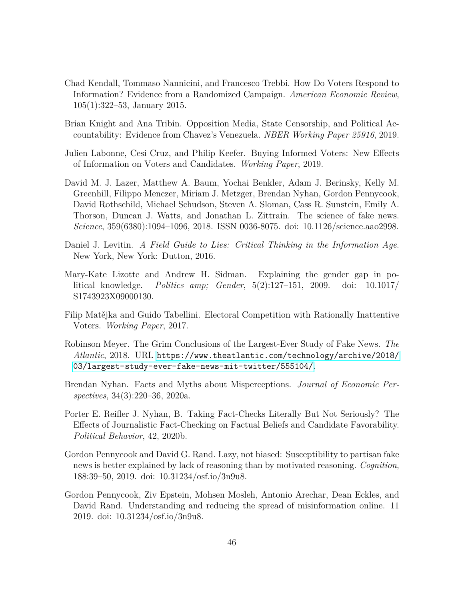- <span id="page-46-0"></span>Chad Kendall, Tommaso Nannicini, and Francesco Trebbi. How Do Voters Respond to Information? Evidence from a Randomized Campaign. *American Economic Review*, 105(1):322–53, January 2015.
- <span id="page-46-2"></span>Brian Knight and Ana Tribin. Opposition Media, State Censorship, and Political Accountability: Evidence from Chavez's Venezuela. *NBER Working Paper 25916*, 2019.
- <span id="page-46-1"></span>Julien Labonne, Cesi Cruz, and Philip Keefer. Buying Informed Voters: New Effects of Information on Voters and Candidates. *Working Paper*, 2019.
- <span id="page-46-3"></span>David M. J. Lazer, Matthew A. Baum, Yochai Benkler, Adam J. Berinsky, Kelly M. Greenhill, Filippo Menczer, Miriam J. Metzger, Brendan Nyhan, Gordon Pennycook, David Rothschild, Michael Schudson, Steven A. Sloman, Cass R. Sunstein, Emily A. Thorson, Duncan J. Watts, and Jonathan L. Zittrain. The science of fake news. *Science*, 359(6380):1094–1096, 2018. ISSN 0036-8075. doi: 10.1126/science.aao2998.
- <span id="page-46-4"></span>Daniel J. Levitin. *A Field Guide to Lies: Critical Thinking in the Information Age*. New York, New York: Dutton, 2016.
- <span id="page-46-11"></span>Mary-Kate Lizotte and Andrew H. Sidman. Explaining the gender gap in political knowledge. *Politics amp; Gender*, 5(2):127–151, 2009. doi: 10.1017/ S1743923X09000130.
- <span id="page-46-10"></span>Filip Matějka and Guido Tabellini. Electoral Competition with Rationally Inattentive Voters. *Working Paper*, 2017.
- <span id="page-46-5"></span>Robinson Meyer. The Grim Conclusions of the Largest-Ever Study of Fake News. *The Atlantic*, 2018. URL [https://www.theatlantic.com/technology/archive/2018/](https://www.theatlantic.com/technology/archive/2018/03/largest-study-ever-fake-news-mit-twitter/555104/) [03/largest-study-ever-fake-news-mit-twitter/555104/](https://www.theatlantic.com/technology/archive/2018/03/largest-study-ever-fake-news-mit-twitter/555104/).
- <span id="page-46-6"></span>Brendan Nyhan. Facts and Myths about Misperceptions. *Journal of Economic Perspectives*, 34(3):220–36, 2020a.
- <span id="page-46-7"></span>Porter E. Reifler J. Nyhan, B. Taking Fact-Checks Literally But Not Seriously? The Effects of Journalistic Fact-Checking on Factual Beliefs and Candidate Favorability. *Political Behavior*, 42, 2020b.
- <span id="page-46-9"></span>Gordon Pennycook and David G. Rand. Lazy, not biased: Susceptibility to partisan fake news is better explained by lack of reasoning than by motivated reasoning. *Cognition*, 188:39–50, 2019. doi: 10.31234/osf.io/3n9u8.
- <span id="page-46-8"></span>Gordon Pennycook, Ziv Epstein, Mohsen Mosleh, Antonio Arechar, Dean Eckles, and David Rand. Understanding and reducing the spread of misinformation online. 11 2019. doi: 10.31234/osf.io/3n9u8.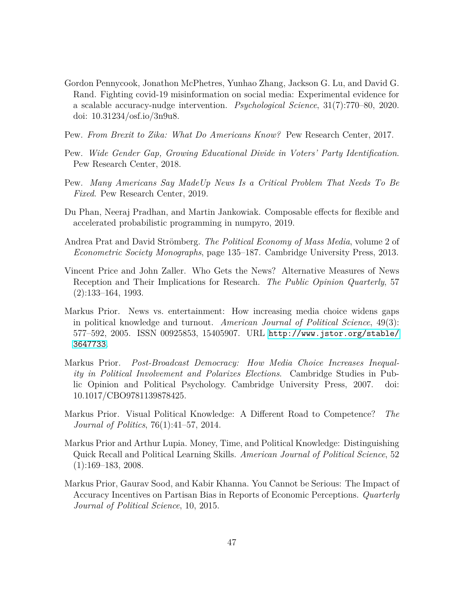- <span id="page-47-0"></span>Gordon Pennycook, Jonathon McPhetres, Yunhao Zhang, Jackson G. Lu, and David G. Rand. Fighting covid-19 misinformation on social media: Experimental evidence for a scalable accuracy-nudge intervention. *Psychological Science*, 31(7):770–80, 2020. doi: 10.31234/osf.io/3n9u8.
- <span id="page-47-7"></span>Pew. *From Brexit to Zika: What Do Americans Know?* Pew Research Center, 2017.
- <span id="page-47-8"></span>Pew. *Wide Gender Gap, Growing Educational Divide in Voters' Party Identification*. Pew Research Center, 2018.
- <span id="page-47-4"></span>Pew. *Many Americans Say MadeUp News Is a Critical Problem That Needs To Be Fixed*. Pew Research Center, 2019.
- <span id="page-47-9"></span>Du Phan, Neeraj Pradhan, and Martin Jankowiak. Composable effects for flexible and accelerated probabilistic programming in numpyro, 2019.
- <span id="page-47-10"></span>Andrea Prat and David Strömberg. *The Political Economy of Mass Media*, volume 2 of *Econometric Society Monographs*, page 135–187. Cambridge University Press, 2013.
- <span id="page-47-6"></span>Vincent Price and John Zaller. Who Gets the News? Alternative Measures of News Reception and Their Implications for Research. *The Public Opinion Quarterly*, 57 (2):133–164, 1993.
- <span id="page-47-3"></span>Markus Prior. News vs. entertainment: How increasing media choice widens gaps in political knowledge and turnout. *American Journal of Political Science*, 49(3): 577–592, 2005. ISSN 00925853, 15405907. URL [http://www.jstor.org/stable/](http://www.jstor.org/stable/3647733) [3647733](http://www.jstor.org/stable/3647733).
- <span id="page-47-11"></span>Markus Prior. *Post-Broadcast Democracy: How Media Choice Increases Inequality in Political Involvement and Polarizes Elections*. Cambridge Studies in Public Opinion and Political Psychology. Cambridge University Press, 2007. doi: 10.1017/CBO9781139878425.
- <span id="page-47-5"></span>Markus Prior. Visual Political Knowledge: A Different Road to Competence? *The Journal of Politics*, 76(1):41–57, 2014.
- <span id="page-47-2"></span>Markus Prior and Arthur Lupia. Money, Time, and Political Knowledge: Distinguishing Quick Recall and Political Learning Skills. *American Journal of Political Science*, 52  $(1):169-183, 2008.$
- <span id="page-47-1"></span>Markus Prior, Gaurav Sood, and Kabir Khanna. You Cannot be Serious: The Impact of Accuracy Incentives on Partisan Bias in Reports of Economic Perceptions. *Quarterly Journal of Political Science*, 10, 2015.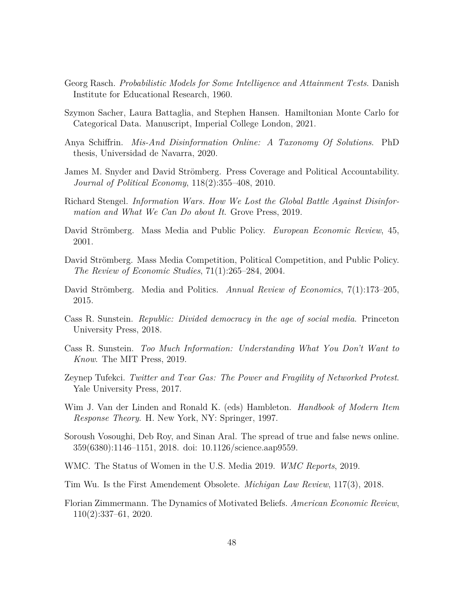- <span id="page-48-10"></span>Georg Rasch. *Probabilistic Models for Some Intelligence and Attainment Tests*. Danish Institute for Educational Research, 1960.
- <span id="page-48-11"></span>Szymon Sacher, Laura Battaglia, and Stephen Hansen. Hamiltonian Monte Carlo for Categorical Data. Manuscript, Imperial College London, 2021.
- <span id="page-48-5"></span>Anya Schiffrin. *Mis-And Disinformation Online: A Taxonomy Of Solutions*. PhD thesis, Universidad de Navarra, 2020.
- <span id="page-48-0"></span>James M. Snyder and David Strömberg. Press Coverage and Political Accountability. *Journal of Political Economy*, 118(2):355–408, 2010.
- <span id="page-48-1"></span>Richard Stengel. *Information Wars. How We Lost the Global Battle Against Disinformation and What We Can Do about It*. Grove Press, 2019.
- <span id="page-48-14"></span>David Strömberg. Mass Media and Public Policy. *European Economic Review*, 45, 2001.
- <span id="page-48-8"></span>David Strömberg. Mass Media Competition, Political Competition, and Public Policy. *The Review of Economic Studies*, 71(1):265–284, 2004.
- <span id="page-48-4"></span>David Strömberg. Media and Politics. *Annual Review of Economics*, 7(1):173–205, 2015.
- <span id="page-48-12"></span>Cass R. Sunstein. *Republic: Divided democracy in the age of social media*. Princeton University Press, 2018.
- <span id="page-48-6"></span>Cass R. Sunstein. *Too Much Information: Understanding What You Don't Want to Know*. The MIT Press, 2019.
- <span id="page-48-3"></span>Zeynep Tufekci. *Twitter and Tear Gas: The Power and Fragility of Networked Protest*. Yale University Press, 2017.
- <span id="page-48-9"></span>Wim J. Van der Linden and Ronald K. (eds) Hambleton. *Handbook of Modern Item Response Theory*. H. New York, NY: Springer, 1997.
- <span id="page-48-2"></span>Soroush Vosoughi, Deb Roy, and Sinan Aral. The spread of true and false news online. 359(6380):1146–1151, 2018. doi: 10.1126/science.aap9559.
- <span id="page-48-15"></span>WMC. The Status of Women in the U.S. Media 2019. *WMC Reports*, 2019.
- <span id="page-48-7"></span>Tim Wu. Is the First Amendement Obsolete. *Michigan Law Review*, 117(3), 2018.
- <span id="page-48-13"></span>Florian Zimmermann. The Dynamics of Motivated Beliefs. *American Economic Review*, 110(2):337–61, 2020.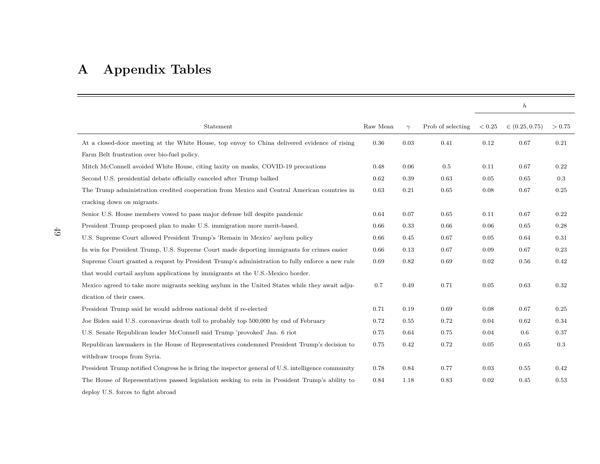# **A Appendix Tables**

<span id="page-49-0"></span>

|                                                                                                     |          |          |                   |        | $\boldsymbol{h}$   |        |
|-----------------------------------------------------------------------------------------------------|----------|----------|-------------------|--------|--------------------|--------|
| Statement                                                                                           | Raw Mean | $\gamma$ | Prob of selecting | < 0.25 | $\in (0.25, 0.75)$ | > 0.75 |
| At a closed-door meeting at the White House, top envoy to China delivered evidence of rising        | $0.36\,$ | 0.03     | 0.41              | 0.12   | 0.67               | 0.21   |
| Farm Belt frustration over bio-fuel policy.                                                         |          |          |                   |        |                    |        |
| Mitch McConnell avoided White House, citing laxity on masks, COVID-19 precautions                   | 0.48     | 0.06     | 0.5               | 0.11   | 0.67               | 0.22   |
| Second U.S. presidential debate officially canceled after Trump balked                              | 0.62     | 0.39     | 0.63              | 0.05   | 0.65               | 0.3    |
| The Trump administration credited cooperation from Mexico and Central American countries in         | 0.63     | 0.21     | 0.65              | 0.08   | 0.67               | 0.25   |
| cracking down on migrants.                                                                          |          |          |                   |        |                    |        |
| Senior U.S. House members vowed to pass major defense bill despite pandemic                         | 0.64     | 0.07     | 0.65              | 0.11   | 0.67               | 0.22   |
| President Trump proposed plan to make U.S. immigration more merit-based.                            | 0.66     | 0.33     | 0.66              | 0.06   | 0.65               | 0.28   |
| U.S. Supreme Court allowed President Trump's 'Remain in Mexico' asylum policy                       | 0.66     | 0.45     | 0.67              | 0.05   | 0.64               | 0.31   |
| In win for President Trump, U.S. Supreme Court made deporting immigrants for crimes easier          | 0.66     | 0.13     | 0.67              | 0.09   | 0.67               | 0.23   |
| Supreme Court granted a request by President Trump's administration to fully enforce a new rule     | 0.69     | 0.82     | 0.69              | 0.02   | 0.56               | 0.42   |
| that would curtail asylum applications by immigrants at the U.S.-Mexico border.                     |          |          |                   |        |                    |        |
| Mexico agreed to take more migrants seeking asylum in the United States while they await adju-      | 0.7      | 0.49     | 0.71              | 0.05   | 0.63               | 0.32   |
| dication of their cases.                                                                            |          |          |                   |        |                    |        |
| President Trump said he would address national debt if re-elected                                   | 0.71     | 0.19     | 0.69              | 0.08   | 0.67               | 0.25   |
| Joe Biden said U.S. coronavirus death toll to probably top 500,000 by end of February               | 0.72     | 0.55     | 0.72              | 0.04   | 0.62               | 0.34   |
| U.S. Senate Republican leader McConnell said Trump 'provoked' Jan. 6 riot                           | 0.75     | 0.64     | 0.75              | 0.04   | 0.6                | 0.37   |
| Republican lawmakers in the House of Representatives condemned President Trump's decision to        | 0.75     | 0.42     | 0.72              | 0.05   | 0.65               | 0.3    |
| withdraw troops from Syria.                                                                         |          |          |                   |        |                    |        |
| President Trump notified Congress he is firing the inspector general of U.S. intelligence community | 0.78     | 0.84     | 0.77              | 0.03   | 0.55               | 0.42   |
| The House of Representatives passed legislation seeking to rein in President Trump's ability to     | 0.84     | 1.18     | 0.83              | 0.02   | 0.45               | 0.53   |
| deploy U.S. forces to fight abroad                                                                  |          |          |                   |        |                    |        |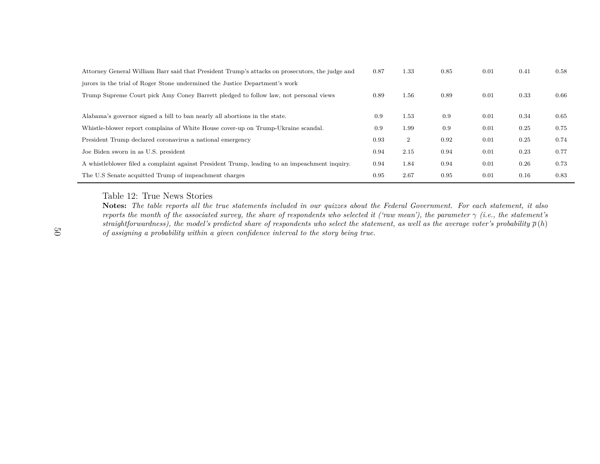<span id="page-50-0"></span>

| Attorney General William Barr said that President Trump's attacks on prosecutors, the judge and | 0.87 | 1.33           | 0.85 | 0.01 | 0.41 | 0.58 |
|-------------------------------------------------------------------------------------------------|------|----------------|------|------|------|------|
| jurors in the trial of Roger Stone undermined the Justice Department's work                     |      |                |      |      |      |      |
| Trump Supreme Court pick Amy Coney Barrett pledged to follow law, not personal views            | 0.89 | 1.56           | 0.89 | 0.01 | 0.33 | 0.66 |
|                                                                                                 |      |                |      |      |      |      |
| Alabama's governor signed a bill to ban nearly all abortions in the state.                      | 0.9  | 1.53           | 0.9  | 0.01 | 0.34 | 0.65 |
| Whistle-blower report complains of White House cover-up on Trump-Ukraine scandal.               | 0.9  | 1.99           | 0.9  | 0.01 | 0.25 | 0.75 |
| President Trump declared coronavirus a national emergency                                       | 0.93 | $\overline{2}$ | 0.92 | 0.01 | 0.25 | 0.74 |
| Joe Biden sworn in as U.S. president                                                            | 0.94 | 2.15           | 0.94 | 0.01 | 0.23 | 0.77 |
| A whistleblower filed a complaint against President Trump, leading to an impeachment inquiry.   | 0.94 | 1.84           | 0.94 | 0.01 | 0.26 | 0.73 |
| The U.S Senate acquitted Trump of impeachment charges                                           | 0.95 | 2.67           | 0.95 | 0.01 | 0.16 | 0.83 |

Table 12: True News Stories

 $\bf{Notes:}$  The table reports all the true statements included in our quizzes about the Federal Government. For each statement, it also reports the month of the associated survey, the share of respondents who selected it ('raw mean'), the parameter  $\gamma$  (i.e., the statement's straightforwardness), the model's predicted share of respondents who select the statement, as well as the average voter's probability  $\overline{\rho}\,(h)$ of assigning a probability within a given confidence interval to the story being true.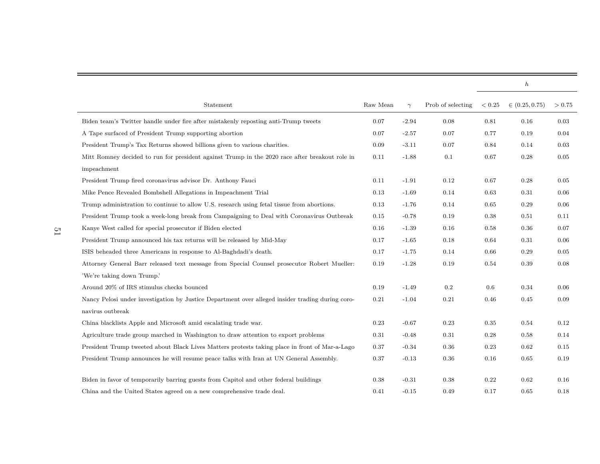|                                                                                                  |          |          |                   |        | $\boldsymbol{h}$   |        |
|--------------------------------------------------------------------------------------------------|----------|----------|-------------------|--------|--------------------|--------|
| Statement                                                                                        | Raw Mean | $\gamma$ | Prob of selecting | < 0.25 | $\in (0.25, 0.75)$ | > 0.75 |
| Biden team's Twitter handle under fire after mistakenly reposting anti-Trump tweets              | 0.07     | $-2.94$  | 0.08              | 0.81   | 0.16               | 0.03   |
| A Tape surfaced of President Trump supporting abortion                                           | 0.07     | $-2.57$  | 0.07              | 0.77   | 0.19               | 0.04   |
| President Trump's Tax Returns showed billions given to various charities.                        |          | $-3.11$  | 0.07              | 0.84   | 0.14               | 0.03   |
| Mitt Romney decided to run for president against Trump in the 2020 race after breakout role in   | 0.11     | $-1.88$  | 0.1               | 0.67   | 0.28               | 0.05   |
| impeachment                                                                                      |          |          |                   |        |                    |        |
| President Trump fired coronavirus advisor Dr. Anthony Fauci                                      | 0.11     | $-1.91$  | 0.12              | 0.67   | 0.28               | 0.05   |
| Mike Pence Revealed Bombshell Allegations in Impeachment Trial                                   | 0.13     | $-1.69$  | 0.14              | 0.63   | 0.31               | 0.06   |
| Trump administration to continue to allow U.S. research using fetal tissue from abortions.       | 0.13     | $-1.76$  | 0.14              | 0.65   | 0.29               | 0.06   |
| President Trump took a week-long break from Campaigning to Deal with Coronavirus Outbreak        | 0.15     | $-0.78$  | 0.19              | 0.38   | 0.51               | 0.11   |
| Kanye West called for special prosecutor if Biden elected                                        | 0.16     | $-1.39$  | 0.16              | 0.58   | 0.36               | 0.07   |
| President Trump announced his tax returns will be released by Mid-May                            | 0.17     | $-1.65$  | 0.18              | 0.64   | 0.31               | 0.06   |
| ISIS beheaded three Americans in response to Al-Baghdadi's death.                                | 0.17     | $-1.75$  | 0.14              | 0.66   | 0.29               | 0.05   |
| Attorney General Barr released text message from Special Counsel prosecutor Robert Mueller:      | 0.19     | $-1.28$  | 0.19              | 0.54   | 0.39               | 0.08   |
| 'We're taking down Trump.'                                                                       |          |          |                   |        |                    |        |
| Around 20% of IRS stimulus checks bounced                                                        | 0.19     | $-1.49$  | $0.2\,$           | 0.6    | 0.34               | 0.06   |
| Nancy Pelosi under investigation by Justice Department over alleged insider trading during coro- | 0.21     | $-1.04$  | 0.21              | 0.46   | 0.45               | 0.09   |
| $\,$ navirus outbreak                                                                            |          |          |                   |        |                    |        |
| China blacklists Apple and Microsoft amid escalating trade war.                                  | 0.23     | $-0.67$  | 0.23              | 0.35   | 0.54               | 0.12   |
| Agriculture trade group marched in Washington to draw attention to export problems               | 0.31     | $-0.48$  | 0.31              | 0.28   | 0.58               | 0.14   |
| President Trump tweeted about Black Lives Matters protests taking place in front of Mar-a-Lago   | 0.37     | $-0.34$  | 0.36              | 0.23   | 0.62               | 0.15   |
| President Trump announces he will resume peace talks with Iran at UN General Assembly.           | 0.37     | $-0.13$  | 0.36              | 0.16   | 0.65               | 0.19   |
| Biden in favor of temporarily barring guests from Capitol and other federal buildings            | 0.38     | $-0.31$  | 0.38              | 0.22   | 0.62               | 0.16   |
| China and the United States agreed on a new comprehensive trade deal.                            | 0.41     | $-0.15$  | 0.49              | 0.17   | 0.65               | 0.18   |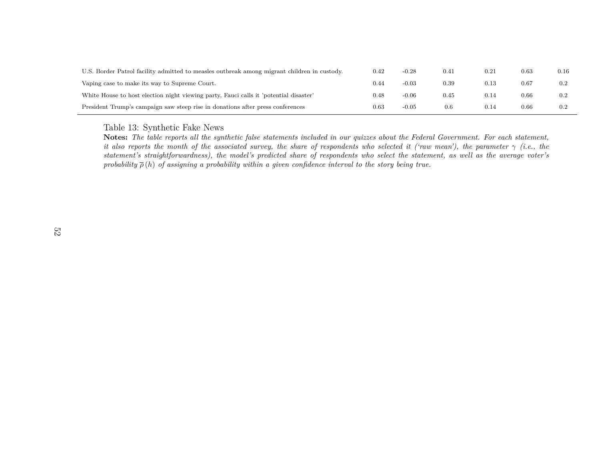| U.S. Border Patrol facility admitted to measles outbreak among migrant children in custody. | 0.42     | $-0.28$ | 0.41 | 0.21 | 0.63 | 0.16    |
|---------------------------------------------------------------------------------------------|----------|---------|------|------|------|---------|
| Vaping case to make its way to Supreme Court.                                               | 0.44     | $-0.03$ | 0.39 | 0.13 | 0.67 | 0.2     |
| White House to host election night viewing party, Fauci calls it 'potential disaster'       | 0.48     | $-0.06$ | 0.45 | 0.14 | 0.66 | 0.2     |
| President Trump's campaign saw steep rise in donations after press conferences              | $0.63\,$ | $-0.05$ | 0.6  | 0.14 | 0.66 | $0.2\,$ |

#### Table 13: Synthetic Fake News

<span id="page-52-0"></span> $\bf{Notes:}$  The table reports all the synthetic false statements included in our quizzes about the Federal Government. For each statement, it also reports the month of the associated survey, the share of respondents who selected it ('raw mean'), the parameter  $\gamma$  (i.e., the *statement's straightforwardness), the model's predicted share of respondents who select the statement, as well as the average voter's*probability  $\overline{\rho}(h)$  of assigning a probability within a given confidence interval to the story being true.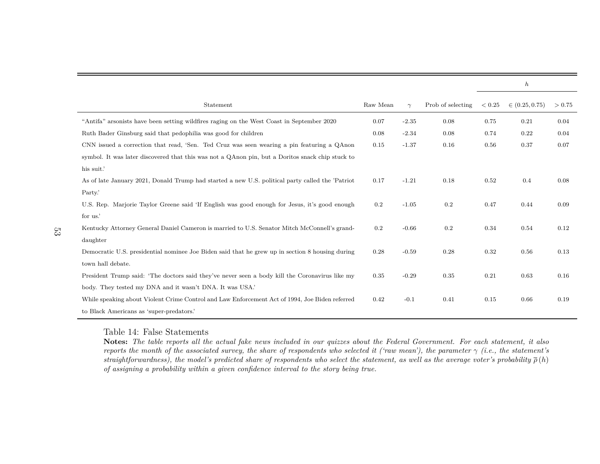|                                                                                                   |          |          |                   |            | $\boldsymbol{h}$   |        |
|---------------------------------------------------------------------------------------------------|----------|----------|-------------------|------------|--------------------|--------|
| Statement                                                                                         | Raw Mean | $\gamma$ | Prob of selecting | ${}< 0.25$ | $\in (0.25, 0.75)$ | > 0.75 |
| "Antifa" arsonists have been setting wildfires raging on the West Coast in September 2020         | 0.07     | $-2.35$  | 0.08              | 0.75       | 0.21               | 0.04   |
| Ruth Bader Ginsburg said that pedophilia was good for children                                    | 0.08     | $-2.34$  | 0.08              | 0.74       | 0.22               | 0.04   |
| CNN issued a correction that read, 'Sen. Ted Cruz was seen wearing a pin featuring a QAnon        | 0.15     | $-1.37$  | 0.16              | 0.56       | 0.37               | 0.07   |
| symbol. It was later discovered that this was not a QAnon pin, but a Doritos snack chip stuck to  |          |          |                   |            |                    |        |
| his suit.'                                                                                        |          |          |                   |            |                    |        |
| As of late January 2021, Donald Trump had started a new U.S. political party called the 'Patriot' | 0.17     | $-1.21$  | 0.18              | 0.52       | 0.4                | 0.08   |
| Party.                                                                                            |          |          |                   |            |                    |        |
| U.S. Rep. Marjorie Taylor Greene said 'If English was good enough for Jesus, it's good enough     | 0.2      | $-1.05$  | 0.2               | 0.47       | 0.44               | 0.09   |
| for us.                                                                                           |          |          |                   |            |                    |        |
| Kentucky Attorney General Daniel Cameron is married to U.S. Senator Mitch McConnell's grand-      | 0.2      | $-0.66$  | 0.2               | 0.34       | 0.54               | 0.12   |
| daughter                                                                                          |          |          |                   |            |                    |        |
| Democratic U.S. presidential nominee Joe Biden said that he grew up in section 8 housing during   | 0.28     | $-0.59$  | 0.28              | 0.32       | 0.56               | 0.13   |
| town hall debate.                                                                                 |          |          |                   |            |                    |        |
| President Trump said: 'The doctors said they've never seen a body kill the Coronavirus like my    | 0.35     | $-0.29$  | 0.35              | 0.21       | 0.63               | 0.16   |
| body. They tested my DNA and it wasn't DNA. It was USA.                                           |          |          |                   |            |                    |        |
| While speaking about Violent Crime Control and Law Enforcement Act of 1994, Joe Biden referred    | 0.42     | $-0.1$   | 0.41              | 0.15       | 0.66               | 0.19   |
| to Black Americans as 'super-predators.'                                                          |          |          |                   |            |                    |        |

Table 14: False Statements

<span id="page-53-0"></span> $\bf{Notes:}$  The table reports all the actual fake news included in our quizzes about the Federal Government. For each statement, it also reports the month of the associated survey, the share of respondents who selected it ('raw mean'), the parameter  $\gamma$  (i.e., the statement's straightforwardness), the model's predicted share of respondents who select the statement, as well as the average voter's probability  $\overline{\rho}\,(h)$ of assigning a probability within a given confidence interval to the story being true.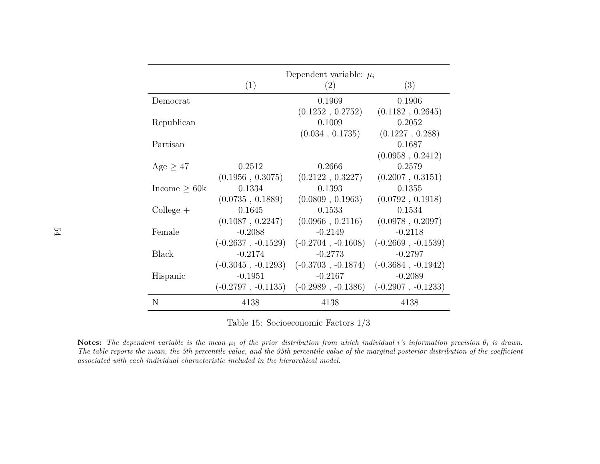<span id="page-54-0"></span>

|                    |                      | Dependent variable: $\mu_i$ |                      |
|--------------------|----------------------|-----------------------------|----------------------|
|                    | $\left( 1\right)$    | (2)                         | (3)                  |
| Democrat           |                      | 0.1969                      | 0.1906               |
|                    |                      | (0.1252, 0.2752)            | (0.1182, 0.2645)     |
| Republican         |                      | 0.1009                      | 0.2052               |
|                    |                      | (0.034, 0.1735)             | (0.1227, 0.288)      |
| Partisan           |                      |                             | 0.1687               |
|                    |                      |                             | (0.0958, 0.2412)     |
| Age $\geq 47$      | 0.2512               | 0.2666                      | 0.2579               |
|                    | (0.1956, 0.3075)     | (0.2122, 0.3227)            | (0.2007, 0.3151)     |
| Income $\geq 60k$  | 0.1334               | 0.1393                      | 0.1355               |
|                    | (0.0735, 0.1889)     | (0.0809, 0.1963)            | (0.0792, 0.1918)     |
| $\text{College} +$ | 0.1645               | 0.1533                      | 0.1534               |
|                    | (0.1087, 0.2247)     | (0.0966, 0.2116)            | (0.0978, 0.2097)     |
| Female             | $-0.2088$            | $-0.2149$                   | $-0.2118$            |
|                    | $(-0.2637, -0.1529)$ | $(-0.2704, -0.1608)$        | $(-0.2669, -0.1539)$ |
| <b>Black</b>       | $-0.2174$            | $-0.2773$                   | $-0.2797$            |
|                    | $(-0.3045, -0.1293)$ | $(-0.3703, -0.1874)$        | $(-0.3684, -0.1942)$ |
| Hispanic           | $-0.1951$            | $-0.2167$                   | $-0.2089$            |
|                    | $(-0.2797, -0.1135)$ | $(-0.2989, -0.1386)$        | $(-0.2907, -0.1233)$ |
| N                  | 4138                 | 4138                        | 4138                 |

Table 15: Socioeconomic Factors 1/3

**Notes:** The dependent variable is the mean  $\mu_i$  of the prior distribution from which individual i's information precision  $\theta_i$  is drawn. The table reports the mean, the 5th percentile value, and the 95th percentile value of the marginal posterior distribution of the coefficient *associated with each individual characteristic included in the hierarchical model.*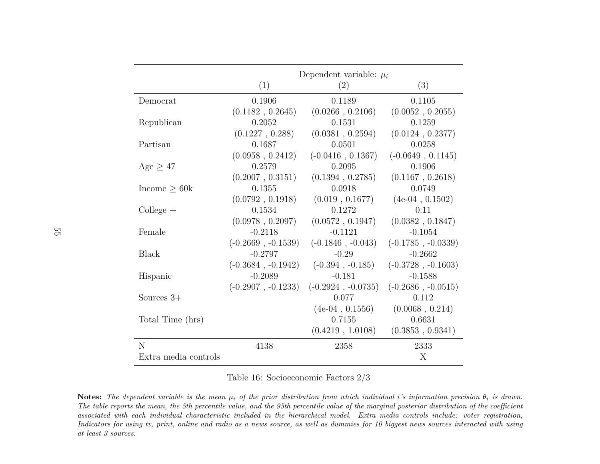|                      | Dependent variable: $\mu_i$ |                      |                      |  |  |  |
|----------------------|-----------------------------|----------------------|----------------------|--|--|--|
|                      | (1)                         | (2)                  | (3)                  |  |  |  |
| Democrat             | 0.1906                      | 0.1189               | 0.1105               |  |  |  |
|                      | (0.1182, 0.2645)            | (0.0266, 0.2106)     | (0.0052, 0.2055)     |  |  |  |
| Republican           | 0.2052                      | 0.1531               | 0.1259               |  |  |  |
|                      | (0.1227, 0.288)             | (0.0381, 0.2594)     | (0.0124, 0.2377)     |  |  |  |
| Partisan             | 0.1687                      | 0.0501               | 0.0258               |  |  |  |
|                      | (0.0958, 0.2412)            | $(-0.0416, 0.1367)$  | $(-0.0649, 0.1145)$  |  |  |  |
| Age $\geq 47$        | 0.2579                      | 0.2095               | 0.1906               |  |  |  |
|                      | (0.2007, 0.3151)            | (0.1394, 0.2785)     | (0.1167, 0.2618)     |  |  |  |
| $Income \geq 60k$    | 0.1355                      | 0.0918               | 0.0749               |  |  |  |
|                      | (0.0792, 0.1918)            | (0.019, 0.1677)      | $(4e-04, 0.1502)$    |  |  |  |
| $\text{Collect } +$  | 0.1534                      | 0.1272               | 0.11                 |  |  |  |
|                      | (0.0978, 0.2097)            | (0.0572, 0.1947)     | (0.0382, 0.1847)     |  |  |  |
| Female               | $-0.2118$                   | $-0.1121$            | $-0.1054$            |  |  |  |
|                      | $(-0.2669, -0.1539)$        | $(-0.1846, -0.043)$  | $(-0.1785, -0.0339)$ |  |  |  |
| Black                | $-0.2797$                   | $-0.29$              | $-0.2662$            |  |  |  |
|                      | $(-0.3684, -0.1942)$        | $(-0.394, -0.185)$   | $(-0.3728, -0.1603)$ |  |  |  |
| Hispanic             | $-0.2089$                   | $-0.181$             | $-0.1588$            |  |  |  |
|                      | $(-0.2907, -0.1233)$        | $(-0.2924, -0.0735)$ | $(-0.2686, -0.0515)$ |  |  |  |
| Sources $3+$         |                             | 0.077                | 0.112                |  |  |  |
|                      |                             | $(4e-04, 0.1556)$    | (0.0068, 0.214)      |  |  |  |
| Total Time (hrs)     |                             | 0.7155               | 0.6631               |  |  |  |
|                      |                             | (0.4219, 1.0108)     | (0.3853, 0.9341)     |  |  |  |
| N                    | 4138                        | 2358                 | 2333                 |  |  |  |
| Extra media controls |                             |                      | X                    |  |  |  |

Table 16: Socioeconomic Factors 2/3

<span id="page-55-0"></span>**Notes:** The dependent variable is the mean  $\mu_i$  of the prior distribution from which individual i's information precision  $\theta_i$  is drawn. The table reports the mean, the 5th percentile value, and the 95th percentile value of the marginal posterior distribution of the coefficient  $associated\ with\ each\ individual\ characteristic\ included\ in\ the\ hierarchical\ model. \quad Extra\ media\ controls\ include: \ vector\ registration, and \ vector\ model.$ Indicators for using tv, print, online and radio as a news source, as well as dummies for 10 biggest news sources interacted with using *at least 3 sources.*